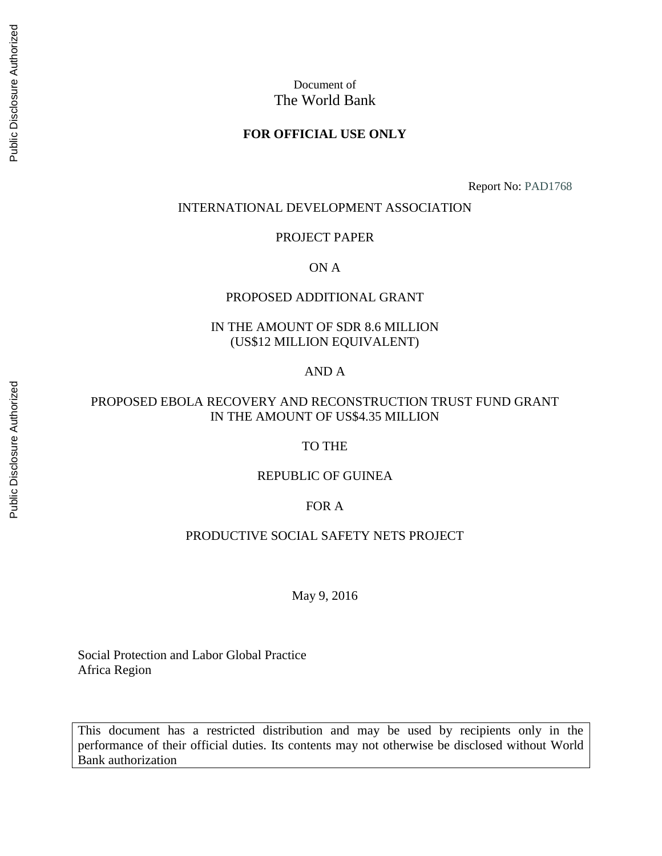### **FOR OFFICIAL USE ONLY**

Report No: PAD1768

#### INTERNATIONAL DEVELOPMENT ASSOCIATION

#### PROJECT PAPER

#### ON A

#### PROPOSED ADDITIONAL GRANT

### IN THE AMOUNT OF SDR 8.6 MILLION (US\$12 MILLION EQUIVALENT)

#### AND A

#### PROPOSED EBOLA RECOVERY AND RECONSTRUCTION TRUST FUND GRANT IN THE AMOUNT OF US\$4.35 MILLION

#### TO THE

#### REPUBLIC OF GUINEA

### FOR A

### PRODUCTIVE SOCIAL SAFETY NETS PROJECT

May 9, 2016

Social Protection and Labor Global Practice Africa Region

This document has a restricted distribution and may be used by recipients only in the performance of their official duties. Its contents may not otherwise be disclosed without World Bank authorization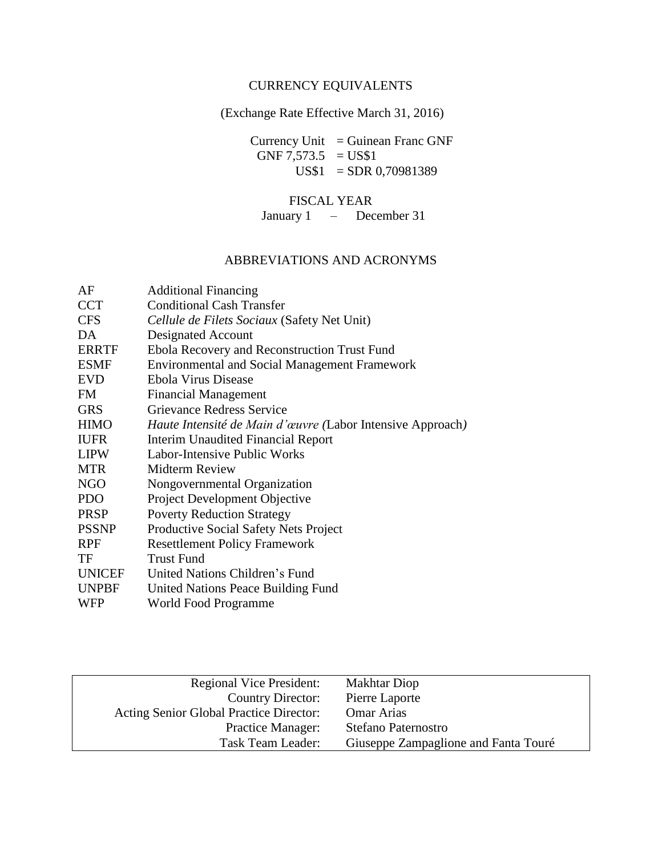# CURRENCY EQUIVALENTS

(Exchange Rate Effective March 31, 2016)

Currency Unit = Guinean Franc GNF GNF 7,573.5 = US\$1 US\$1 = SDR 0,70981389

#### FISCAL YEAR

January 1 – December 31

# ABBREVIATIONS AND ACRONYMS

| AF            | <b>Additional Financing</b>                                       |
|---------------|-------------------------------------------------------------------|
| <b>CCT</b>    | <b>Conditional Cash Transfer</b>                                  |
| <b>CFS</b>    | Cellule de Filets Sociaux (Safety Net Unit)                       |
| DA            | Designated Account                                                |
| <b>ERRTF</b>  | Ebola Recovery and Reconstruction Trust Fund                      |
| <b>ESMF</b>   | <b>Environmental and Social Management Framework</b>              |
| <b>EVD</b>    | Ebola Virus Disease                                               |
| FM            | <b>Financial Management</b>                                       |
| <b>GRS</b>    | Grievance Redress Service                                         |
| <b>HIMO</b>   | <i>Haute Intensité de Main d'œuvre</i> (Labor Intensive Approach) |
| <b>IUFR</b>   | Interim Unaudited Financial Report                                |
| <b>LIPW</b>   | Labor-Intensive Public Works                                      |
| <b>MTR</b>    | <b>Midterm Review</b>                                             |
| NGO           | Nongovernmental Organization                                      |
| <b>PDO</b>    | Project Development Objective                                     |
| <b>PRSP</b>   | <b>Poverty Reduction Strategy</b>                                 |
| <b>PSSNP</b>  | Productive Social Safety Nets Project                             |
| <b>RPF</b>    | <b>Resettlement Policy Framework</b>                              |
| TF            | <b>Trust Fund</b>                                                 |
| <b>UNICEF</b> | United Nations Children's Fund                                    |
| <b>UNPBF</b>  | <b>United Nations Peace Building Fund</b>                         |
| WFP           | World Food Programme                                              |

| <b>Regional Vice President:</b>         | <b>Makhtar Diop</b>                  |
|-----------------------------------------|--------------------------------------|
| Country Director:                       | Pierre Laporte                       |
| Acting Senior Global Practice Director: | <b>Omar Arias</b>                    |
| <b>Practice Manager:</b>                | Stefano Paternostro                  |
| Task Team Leader:                       | Giuseppe Zampaglione and Fanta Touré |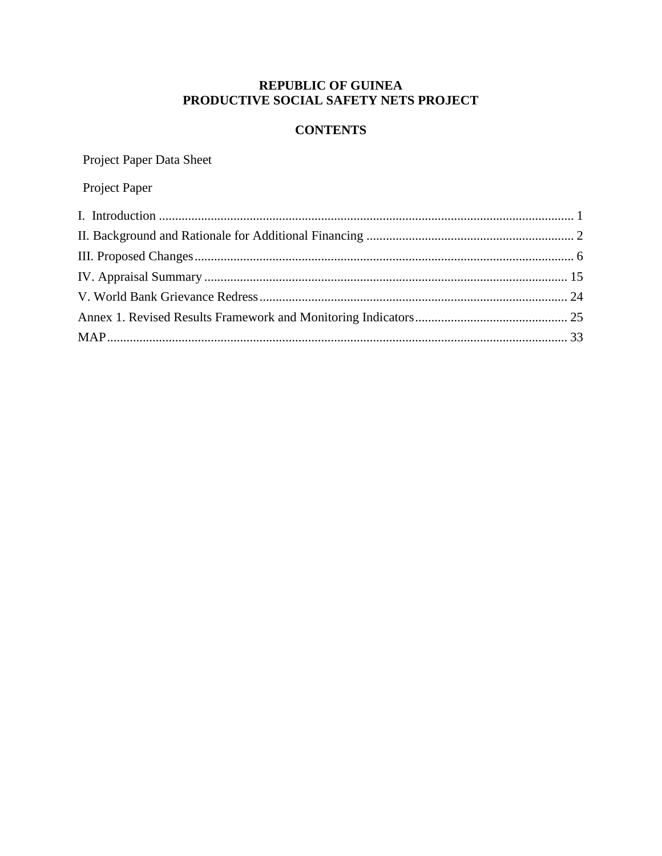# **REPUBLIC OF GUINEA** PRODUCTIVE SOCIAL SAFETY NETS PROJECT

# **CONTENTS**

Project Paper Data Sheet

Project Paper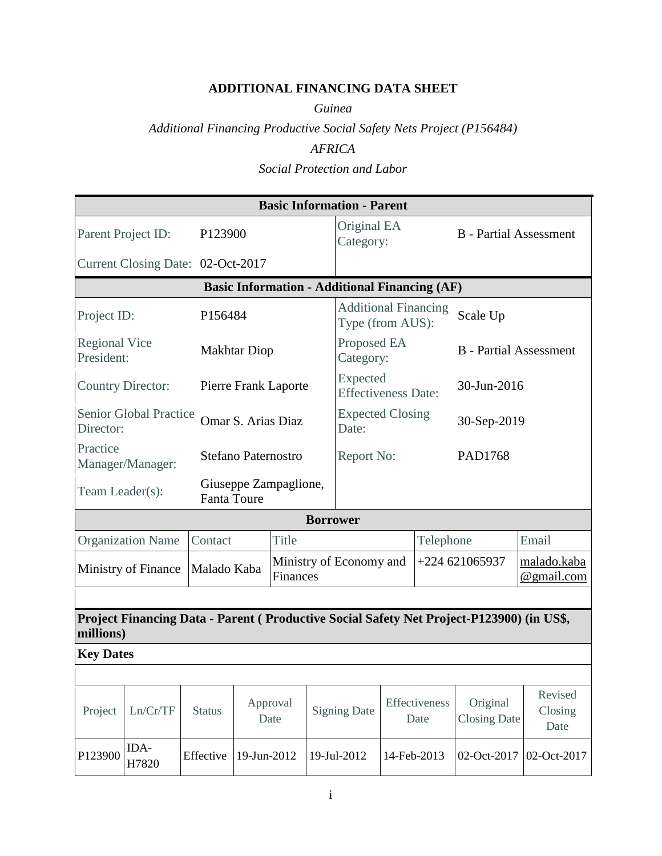# **ADDITIONAL FINANCING DATA SHEET**

*Guinea*

# *Additional Financing Productive Social Safety Nets Project (P156484)*

*AFRICA*

*Social Protection and Labor*

|                                                                                                       | <b>Basic Information - Parent</b>                            |                    |                          |                       |                               |                                                             |                 |                                 |                               |             |
|-------------------------------------------------------------------------------------------------------|--------------------------------------------------------------|--------------------|--------------------------|-----------------------|-------------------------------|-------------------------------------------------------------|-----------------|---------------------------------|-------------------------------|-------------|
|                                                                                                       | Parent Project ID:<br>P123900                                |                    | Original EA<br>Category: |                       | <b>B</b> - Partial Assessment |                                                             |                 |                                 |                               |             |
|                                                                                                       | Current Closing Date: 02-Oct-2017                            |                    |                          |                       |                               |                                                             |                 |                                 |                               |             |
|                                                                                                       |                                                              |                    |                          |                       |                               | <b>Basic Information - Additional Financing (AF)</b>        |                 |                                 |                               |             |
|                                                                                                       | Project ID:<br>P156484                                       |                    |                          |                       |                               | <b>Additional Financing</b><br>Scale Up<br>Type (from AUS): |                 |                                 |                               |             |
| <b>Regional Vice</b><br>President:                                                                    |                                                              |                    | <b>Makhtar Diop</b>      |                       |                               | Proposed EA<br>Category:                                    |                 |                                 | <b>B</b> - Partial Assessment |             |
|                                                                                                       | <b>Country Director:</b>                                     |                    |                          | Pierre Frank Laporte  |                               | Expected<br><b>Effectiveness Date:</b>                      |                 |                                 | 30-Jun-2016                   |             |
| Senior Global Practice<br>Omar S. Arias Diaz<br>Director:                                             |                                                              |                    |                          |                       |                               | <b>Expected Closing</b><br>Date:                            |                 | 30-Sep-2019                     |                               |             |
| Practice                                                                                              | <b>Stefano Paternostro</b><br>Report No:<br>Manager/Manager: |                    |                          | <b>PAD1768</b>        |                               |                                                             |                 |                                 |                               |             |
| Team Leader(s):                                                                                       |                                                              | <b>Fanta Toure</b> |                          | Giuseppe Zampaglione, |                               |                                                             |                 |                                 |                               |             |
|                                                                                                       |                                                              |                    |                          |                       | <b>Borrower</b>               |                                                             |                 |                                 |                               |             |
|                                                                                                       | <b>Organization Name</b>                                     | Contact            |                          | <b>Title</b>          |                               |                                                             |                 | Telephone                       |                               | Email       |
|                                                                                                       | Ministry of Finance                                          | Malado Kaba        | Finances                 |                       | Ministry of Economy and       |                                                             | $+224621065937$ | malado.kaba<br>@gmail.com       |                               |             |
|                                                                                                       |                                                              |                    |                          |                       |                               |                                                             |                 |                                 |                               |             |
| Project Financing Data - Parent (Productive Social Safety Net Project-P123900) (in US\$,<br>millions) |                                                              |                    |                          |                       |                               |                                                             |                 |                                 |                               |             |
| <b>Key Dates</b>                                                                                      |                                                              |                    |                          |                       |                               |                                                             |                 |                                 |                               |             |
|                                                                                                       |                                                              |                    |                          |                       |                               |                                                             |                 |                                 |                               |             |
| Project                                                                                               | Ln/Cr/TF                                                     | <b>Status</b>      | Approval<br>Date         |                       | <b>Signing Date</b>           | Effectiveness<br>Date                                       |                 | Original<br><b>Closing Date</b> | Revised<br>Closing<br>Date    |             |
| P123900                                                                                               | IDA-<br>H7820                                                | Effective          | 19-Jun-2012              |                       |                               | 19-Jul-2012                                                 | 14-Feb-2013     |                                 | 02-Oct-2017                   | 02-Oct-2017 |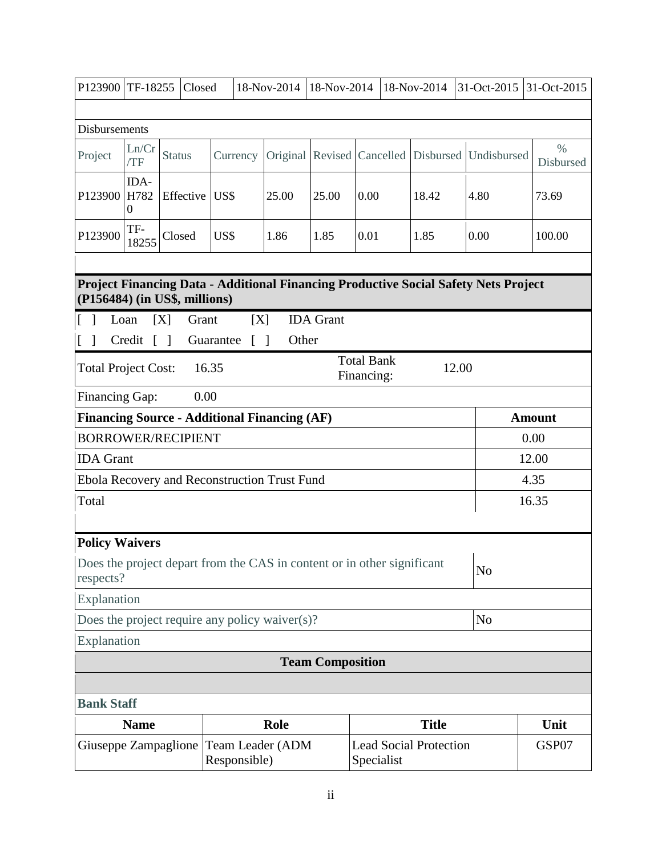|  |  | P123900 TF-18255 Closed 18-Nov-2014 18-Nov-2014 18-Nov-2014 31-Oct-2015 31-Oct-2015 |  |
|--|--|-------------------------------------------------------------------------------------|--|
|  |  |                                                                                     |  |

| Project | Ln/Cr | <b>Status</b>               |      |       |       |      |       | Currency   Original   Revised   Cancelled   Disbursed   Undisbursed | $\%$<br>Disbursed |
|---------|-------|-----------------------------|------|-------|-------|------|-------|---------------------------------------------------------------------|-------------------|
|         | IDA-  | P123900 H782 Effective US\$ |      | 25.00 | 25.00 | 0.00 | 18.42 | 4.80                                                                | 73.69             |
|         |       | P123900 TF-<br>18255 Closed | US\$ | 1.86  | 1.85  | 0.01 | 1.85  | 0.00                                                                | 100.00            |

### **Project Financing Data - Additional Financing Productive Social Safety Nets Project (P156484) (in US\$, millions)**

| $\lceil \rceil$                                     | Loan                                                                 | [X] | Grant        | [X] | <b>IDA</b> Grant |                                 |       |       |  |
|-----------------------------------------------------|----------------------------------------------------------------------|-----|--------------|-----|------------------|---------------------------------|-------|-------|--|
| $\lceil \rceil$                                     | Credit $\lceil \; \rceil$                                            |     | Guarantee [] |     | Other            |                                 |       |       |  |
|                                                     | Total Project Cost:                                                  |     | 16.35        |     |                  | <b>Total Bank</b><br>Financing: | 12.00 |       |  |
|                                                     | <b>Financing Gap:</b><br>0.00                                        |     |              |     |                  |                                 |       |       |  |
|                                                     | <b>Financing Source - Additional Financing (AF)</b><br><b>Amount</b> |     |              |     |                  |                                 |       |       |  |
| <b>BORROWER/RECIPIENT</b>                           |                                                                      |     |              |     |                  | 0.00                            |       |       |  |
|                                                     | <b>IDA</b> Grant                                                     |     |              |     |                  |                                 |       | 12.00 |  |
| <b>Ebola Recovery and Reconstruction Trust Fund</b> |                                                                      |     |              |     |                  |                                 | 4.35  |       |  |
| Total                                               |                                                                      |     |              |     |                  |                                 |       | 16.35 |  |

# **Policy Waivers**

| Does the project depart from the CAS in content or in other significant<br>respects? | N <sub>o</sub> |
|--------------------------------------------------------------------------------------|----------------|
| Explanation                                                                          |                |
| Does the project require any policy waiver $(s)$ ?                                   | N <sub>0</sub> |

## Explanation

# **Team Composition**

| <b>Bank Staff</b>                     |              |                               |       |  |  |  |  |  |  |
|---------------------------------------|--------------|-------------------------------|-------|--|--|--|--|--|--|
| <b>Name</b>                           | Role         | Title                         | Unit  |  |  |  |  |  |  |
| Giuseppe Zampaglione Team Leader (ADM |              | <b>Lead Social Protection</b> | GSP07 |  |  |  |  |  |  |
|                                       | Responsible) | Specialist                    |       |  |  |  |  |  |  |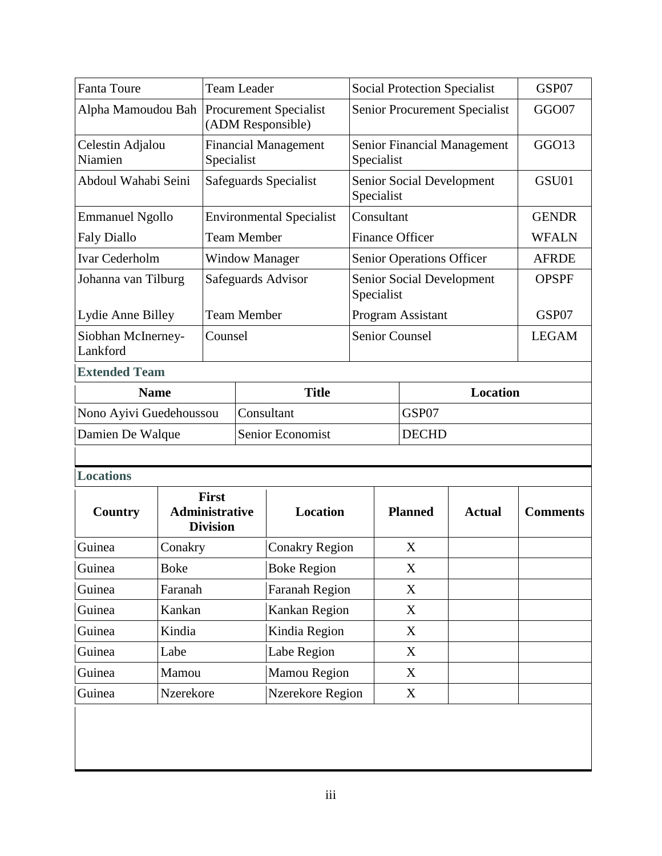| Fanta Toure<br><b>Team Leader</b>         |                                                        |                                          | <b>Social Protection Specialist</b> |                                 |                               | GSP07           |                                    |                           |                 |  |
|-------------------------------------------|--------------------------------------------------------|------------------------------------------|-------------------------------------|---------------------------------|-------------------------------|-----------------|------------------------------------|---------------------------|-----------------|--|
|                                           | Alpha Mamoudou Bah<br>(ADM Responsible)                |                                          |                                     | <b>Procurement Specialist</b>   | Senior Procurement Specialist |                 |                                    | GGO07                     |                 |  |
| Celestin Adjalou<br>Niamien<br>Specialist |                                                        |                                          | <b>Financial Management</b>         | Specialist                      |                               |                 | <b>Senior Financial Management</b> | GGO13                     |                 |  |
| Abdoul Wahabi Seini                       |                                                        |                                          |                                     | Safeguards Specialist           | Specialist                    |                 |                                    | Senior Social Development | GSU01           |  |
| <b>Emmanuel Ngollo</b>                    |                                                        |                                          |                                     | <b>Environmental Specialist</b> | Consultant                    |                 |                                    |                           | <b>GENDR</b>    |  |
| <b>Faly Diallo</b>                        |                                                        |                                          | <b>Team Member</b>                  |                                 | <b>Finance Officer</b>        |                 |                                    |                           | <b>WFALN</b>    |  |
| <b>Ivar Cederholm</b>                     |                                                        |                                          |                                     | <b>Window Manager</b>           |                               |                 | Senior Operations Officer          |                           | <b>AFRDE</b>    |  |
| Johanna van Tilburg                       |                                                        |                                          |                                     | Safeguards Advisor              | Specialist                    |                 |                                    | Senior Social Development | <b>OPSPF</b>    |  |
| Lydie Anne Billey                         |                                                        |                                          | <b>Team Member</b>                  |                                 |                               |                 | Program Assistant                  |                           | GSP07           |  |
| Lankford                                  | <b>Senior Counsel</b><br>Siobhan McInerney-<br>Counsel |                                          |                                     |                                 |                               |                 | <b>LEGAM</b>                       |                           |                 |  |
| <b>Extended Team</b>                      |                                                        |                                          |                                     |                                 |                               |                 |                                    |                           |                 |  |
| <b>Name</b>                               |                                                        |                                          |                                     | <b>Title</b>                    |                               | <b>Location</b> |                                    |                           |                 |  |
| Nono Ayivi Guedehoussou                   |                                                        |                                          |                                     | Consultant                      |                               |                 | GSP07                              |                           |                 |  |
| Damien De Walque                          |                                                        |                                          | Senior Economist                    |                                 |                               |                 | <b>DECHD</b>                       |                           |                 |  |
| <b>Locations</b>                          |                                                        |                                          |                                     |                                 |                               |                 |                                    |                           |                 |  |
|                                           |                                                        | <b>First</b>                             |                                     |                                 |                               |                 |                                    |                           |                 |  |
| <b>Country</b>                            |                                                        | <b>Administrative</b><br><b>Division</b> |                                     | <b>Location</b>                 |                               |                 | <b>Planned</b>                     | <b>Actual</b>             | <b>Comments</b> |  |
| Guinea                                    | Conakry                                                |                                          |                                     | <b>Conakry Region</b>           | X                             |                 |                                    |                           |                 |  |
| Guinea                                    | <b>Boke</b>                                            |                                          |                                     | <b>Boke Region</b>              |                               | $\mathbf X$     |                                    |                           |                 |  |
| Guinea                                    | Faranah                                                |                                          |                                     | <b>Faranah Region</b>           |                               | X               |                                    |                           |                 |  |
| Guinea                                    | Kankan                                                 |                                          |                                     | Kankan Region                   |                               | X               |                                    |                           |                 |  |
| Guinea                                    | Kindia                                                 |                                          |                                     | Kindia Region                   |                               |                 | X                                  |                           |                 |  |
|                                           |                                                        |                                          |                                     | Labe Region                     |                               |                 | X                                  |                           |                 |  |
| Guinea                                    | Labe                                                   |                                          |                                     |                                 |                               |                 |                                    |                           |                 |  |
| Guinea                                    | Mamou                                                  |                                          |                                     | Mamou Region                    |                               |                 | X                                  |                           |                 |  |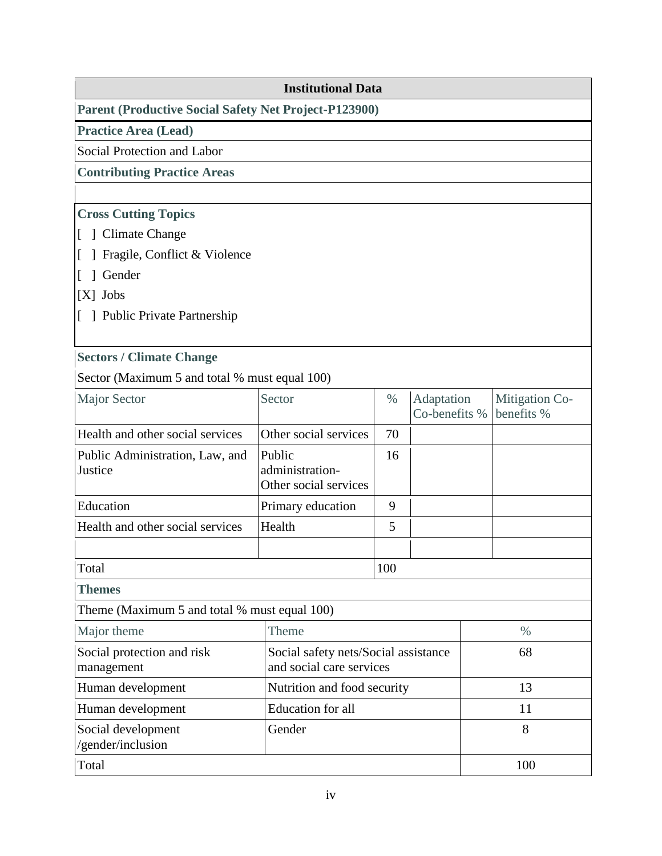### **Institutional Data**

**Parent (Productive Social Safety Net Project-P123900)**

**Practice Area (Lead)**

Social Protection and Labor

### **Contributing Practice Areas**

# **Cross Cutting Topics**

- [ ] Climate Change
- [ ] Fragile, Conflict & Violence
- [ ] Gender
- [X] Jobs
- [ ] Public Private Partnership

### **Sectors / Climate Change**

Sector (Maximum 5 and total % must equal 100)

| <b>Major Sector</b>                          | Sector                                                           | $\%$ | Adaptation<br>Co-benefits % | Mitigation Co-<br>benefits % |
|----------------------------------------------|------------------------------------------------------------------|------|-----------------------------|------------------------------|
| Health and other social services             | Other social services                                            | 70   |                             |                              |
| Public Administration, Law, and<br>Justice   | Public<br>administration-<br>Other social services               | 16   |                             |                              |
| Education                                    | Primary education                                                | 9    |                             |                              |
| Health and other social services             | Health                                                           | 5    |                             |                              |
|                                              |                                                                  |      |                             |                              |
| Total                                        |                                                                  |      |                             |                              |
| <b>Themes</b>                                |                                                                  |      |                             |                              |
| Theme (Maximum 5 and total % must equal 100) |                                                                  |      |                             |                              |
| Major theme                                  | Theme                                                            |      |                             | $\%$                         |
| Social protection and risk<br>management     | Social safety nets/Social assistance<br>and social care services |      |                             | 68                           |
| Human development                            | Nutrition and food security                                      |      |                             | 13                           |
| Human development                            | <b>Education</b> for all                                         |      |                             | 11                           |
| Social development<br>/gender/inclusion      | Gender                                                           |      |                             | 8                            |
| Total                                        |                                                                  |      |                             | 100                          |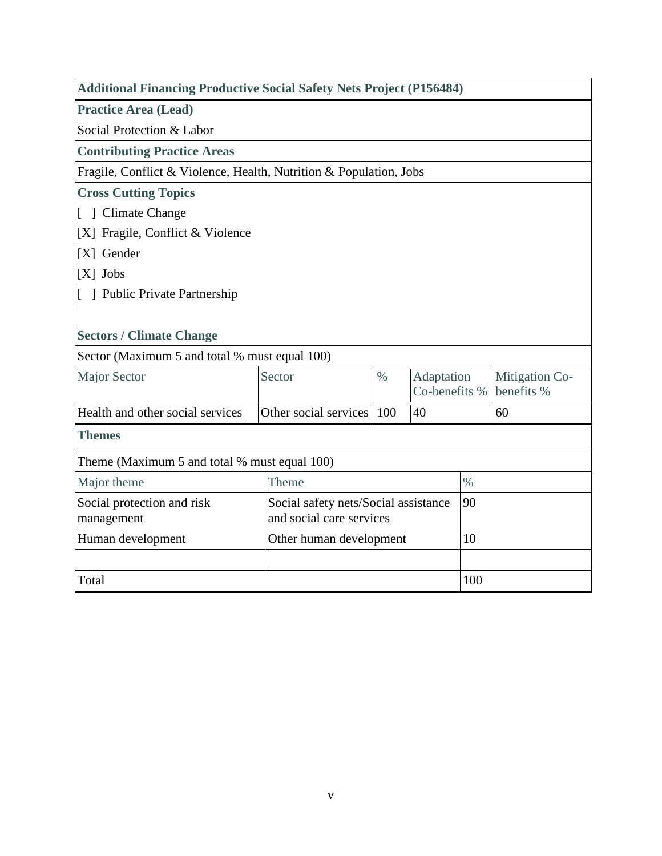### **Additional Financing Productive Social Safety Nets Project (P156484)**

**Practice Area (Lead)**

Social Protection & Labor

**Contributing Practice Areas**

Fragile, Conflict & Violence, Health, Nutrition & Population, Jobs

**Cross Cutting Topics**

[ ] Climate Change

- [X] Fragile, Conflict & Violence
- [X] Gender
- [X] Jobs
- [ ] Public Private Partnership

# **Sectors / Climate Change**

# Sector (Maximum 5 and total % must equal 100)

| <b>Major Sector</b>                          | Sector                                                           | $\%$ | Adaptation<br>Co-benefits % |      | Mitigation Co-<br>benefits % |
|----------------------------------------------|------------------------------------------------------------------|------|-----------------------------|------|------------------------------|
| Health and other social services             | Other social services                                            | 100  | 40                          |      | 60                           |
| <b>Themes</b>                                |                                                                  |      |                             |      |                              |
| Theme (Maximum 5 and total % must equal 100) |                                                                  |      |                             |      |                              |
| Major theme                                  | Theme                                                            |      |                             | $\%$ |                              |
| Social protection and risk<br>management     | Social safety nets/Social assistance<br>and social care services |      |                             |      |                              |
| Human development                            | Other human development                                          |      |                             | 10   |                              |
|                                              |                                                                  |      |                             |      |                              |
| Total                                        |                                                                  |      |                             | 100  |                              |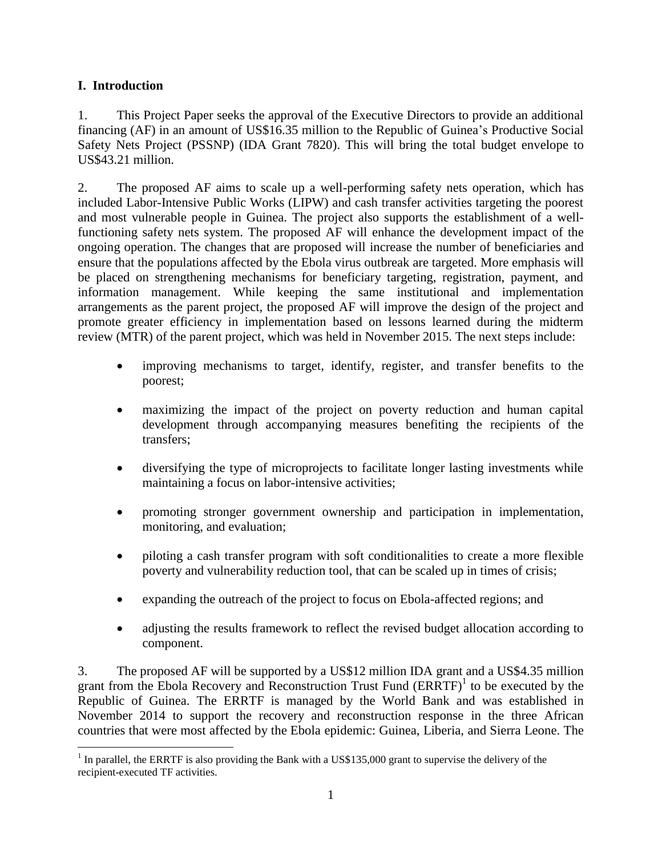### **I. Introduction**

1. This Project Paper seeks the approval of the Executive Directors to provide an additional financing (AF) in an amount of US\$16.35 million to the Republic of Guinea's Productive Social Safety Nets Project (PSSNP) (IDA Grant 7820). This will bring the total budget envelope to US\$43.21 million.

2. The proposed AF aims to scale up a well-performing safety nets operation, which has included Labor-Intensive Public Works (LIPW) and cash transfer activities targeting the poorest and most vulnerable people in Guinea. The project also supports the establishment of a wellfunctioning safety nets system. The proposed AF will enhance the development impact of the ongoing operation. The changes that are proposed will increase the number of beneficiaries and ensure that the populations affected by the Ebola virus outbreak are targeted. More emphasis will be placed on strengthening mechanisms for beneficiary targeting, registration, payment, and information management. While keeping the same institutional and implementation arrangements as the parent project, the proposed AF will improve the design of the project and promote greater efficiency in implementation based on lessons learned during the midterm review (MTR) of the parent project, which was held in November 2015. The next steps include:

- improving mechanisms to target, identify, register, and transfer benefits to the poorest;
- maximizing the impact of the project on poverty reduction and human capital development through accompanying measures benefiting the recipients of the transfers;
- diversifying the type of microprojects to facilitate longer lasting investments while maintaining a focus on labor-intensive activities;
- promoting stronger government ownership and participation in implementation, monitoring, and evaluation;
- piloting a cash transfer program with soft conditionalities to create a more flexible poverty and vulnerability reduction tool, that can be scaled up in times of crisis;
- expanding the outreach of the project to focus on Ebola-affected regions; and
- adjusting the results framework to reflect the revised budget allocation according to component.

3. The proposed AF will be supported by a US\$12 million IDA grant and a US\$4.35 million grant from the Ebola Recovery and Reconstruction Trust Fund  $(ERRTF)^1$  to be executed by the Republic of Guinea. The ERRTF is managed by the World Bank and was established in November 2014 to support the recovery and reconstruction response in the three African countries that were most affected by the Ebola epidemic: Guinea, Liberia, and Sierra Leone. The

 $\overline{a}$ <sup>1</sup> In parallel, the ERRTF is also providing the Bank with a US\$135,000 grant to supervise the delivery of the recipient-executed TF activities.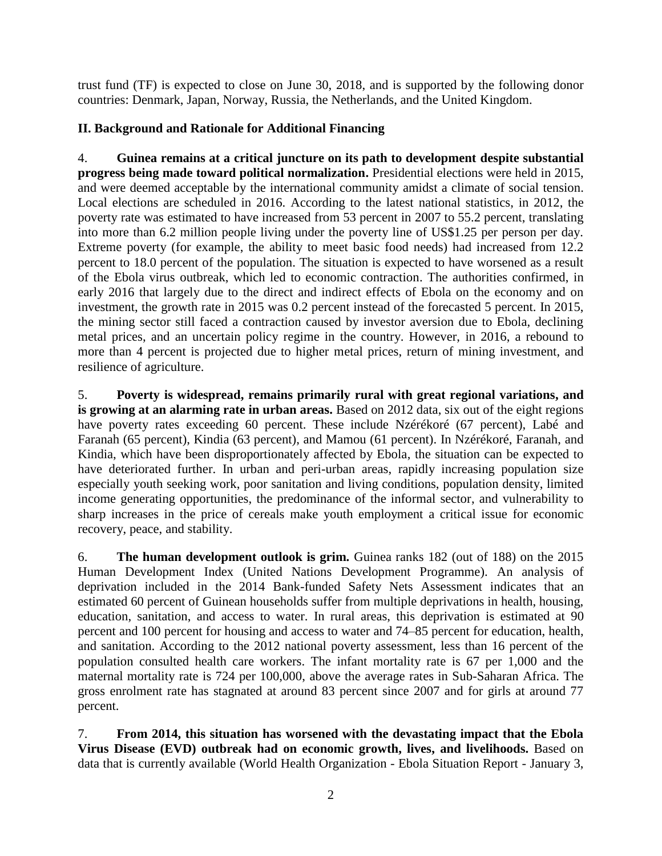trust fund (TF) is expected to close on June 30, 2018, and is supported by the following donor countries: Denmark, Japan, Norway, Russia, the Netherlands, and the United Kingdom.

# **II. Background and Rationale for Additional Financing**

4. **Guinea remains at a critical juncture on its path to development despite substantial progress being made toward political normalization.** Presidential elections were held in 2015, and were deemed acceptable by the international community amidst a climate of social tension. Local elections are scheduled in 2016. According to the latest national statistics, in 2012, the poverty rate was estimated to have increased from 53 percent in 2007 to 55.2 percent, translating into more than 6.2 million people living under the poverty line of US\$1.25 per person per day. Extreme poverty (for example, the ability to meet basic food needs) had increased from 12.2 percent to 18.0 percent of the population. The situation is expected to have worsened as a result of the Ebola virus outbreak, which led to economic contraction. The authorities confirmed, in early 2016 that largely due to the direct and indirect effects of Ebola on the economy and on investment, the growth rate in 2015 was 0.2 percent instead of the forecasted 5 percent. In 2015, the mining sector still faced a contraction caused by investor aversion due to Ebola, declining metal prices, and an uncertain policy regime in the country. However, in 2016, a rebound to more than 4 percent is projected due to higher metal prices, return of mining investment, and resilience of agriculture.

5. **Poverty is widespread, remains primarily rural with great regional variations, and is growing at an alarming rate in urban areas.** Based on 2012 data, six out of the eight regions have poverty rates exceeding 60 percent. These include Nzérékoré (67 percent), Labé and Faranah (65 percent), Kindia (63 percent), and Mamou (61 percent). In Nzérékoré, Faranah, and Kindia, which have been disproportionately affected by Ebola, the situation can be expected to have deteriorated further. In urban and peri-urban areas, rapidly increasing population size especially youth seeking work, poor sanitation and living conditions, population density, limited income generating opportunities, the predominance of the informal sector, and vulnerability to sharp increases in the price of cereals make youth employment a critical issue for economic recovery, peace, and stability.

6. **The human development outlook is grim.** Guinea ranks 182 (out of 188) on the 2015 Human Development Index (United Nations Development Programme). An analysis of deprivation included in the 2014 Bank-funded Safety Nets Assessment indicates that an estimated 60 percent of Guinean households suffer from multiple deprivations in health, housing, education, sanitation, and access to water. In rural areas, this deprivation is estimated at 90 percent and 100 percent for housing and access to water and 74–85 percent for education, health, and sanitation. According to the 2012 national poverty assessment, less than 16 percent of the population consulted health care workers. The infant mortality rate is 67 per 1,000 and the maternal mortality rate is 724 per 100,000, above the average rates in Sub-Saharan Africa. The gross enrolment rate has stagnated at around 83 percent since 2007 and for girls at around 77 percent.

7. **From 2014, this situation has worsened with the devastating impact that the Ebola Virus Disease (EVD) outbreak had on economic growth, lives, and livelihoods.** Based on data that is currently available (World Health Organization - Ebola Situation Report - January 3,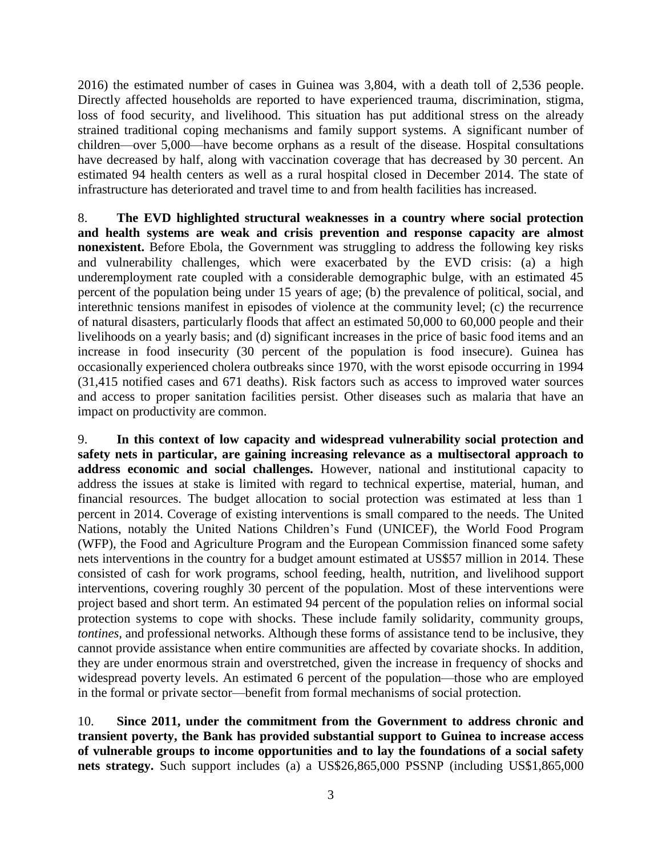2016) the estimated number of cases in Guinea was 3,804, with a death toll of 2,536 people. Directly affected households are reported to have experienced trauma, discrimination, stigma, loss of food security, and livelihood. This situation has put additional stress on the already strained traditional coping mechanisms and family support systems. A significant number of children—over 5,000—have become orphans as a result of the disease. Hospital consultations have decreased by half, along with vaccination coverage that has decreased by 30 percent. An estimated 94 health centers as well as a rural hospital closed in December 2014. The state of infrastructure has deteriorated and travel time to and from health facilities has increased.

8. **The EVD highlighted structural weaknesses in a country where social protection and health systems are weak and crisis prevention and response capacity are almost nonexistent.** Before Ebola, the Government was struggling to address the following key risks and vulnerability challenges, which were exacerbated by the EVD crisis: (a) a high underemployment rate coupled with a considerable demographic bulge, with an estimated 45 percent of the population being under 15 years of age; (b) the prevalence of political, social, and interethnic tensions manifest in episodes of violence at the community level; (c) the recurrence of natural disasters, particularly floods that affect an estimated 50,000 to 60,000 people and their livelihoods on a yearly basis; and (d) significant increases in the price of basic food items and an increase in food insecurity (30 percent of the population is food insecure). Guinea has occasionally experienced cholera outbreaks since 1970, with the worst episode occurring in 1994 (31,415 notified cases and 671 deaths). Risk factors such as access to improved water sources and access to proper sanitation facilities persist. Other diseases such as malaria that have an impact on productivity are common.

9. **In this context of low capacity and widespread vulnerability social protection and safety nets in particular, are gaining increasing relevance as a multisectoral approach to address economic and social challenges.** However, national and institutional capacity to address the issues at stake is limited with regard to technical expertise, material, human, and financial resources. The budget allocation to social protection was estimated at less than 1 percent in 2014. Coverage of existing interventions is small compared to the needs. The United Nations, notably the United Nations Children's Fund (UNICEF), the World Food Program (WFP), the Food and Agriculture Program and the European Commission financed some safety nets interventions in the country for a budget amount estimated at US\$57 million in 2014. These consisted of cash for work programs, school feeding, health, nutrition, and livelihood support interventions, covering roughly 30 percent of the population. Most of these interventions were project based and short term. An estimated 94 percent of the population relies on informal social protection systems to cope with shocks. These include family solidarity, community groups, *tontines,* and professional networks. Although these forms of assistance tend to be inclusive, they cannot provide assistance when entire communities are affected by covariate shocks. In addition, they are under enormous strain and overstretched, given the increase in frequency of shocks and widespread poverty levels. An estimated 6 percent of the population—those who are employed in the formal or private sector—benefit from formal mechanisms of social protection.

10. **Since 2011, under the commitment from the Government to address chronic and transient poverty, the Bank has provided substantial support to Guinea to increase access of vulnerable groups to income opportunities and to lay the foundations of a social safety nets strategy.** Such support includes (a) a US\$26,865,000 PSSNP (including US\$1,865,000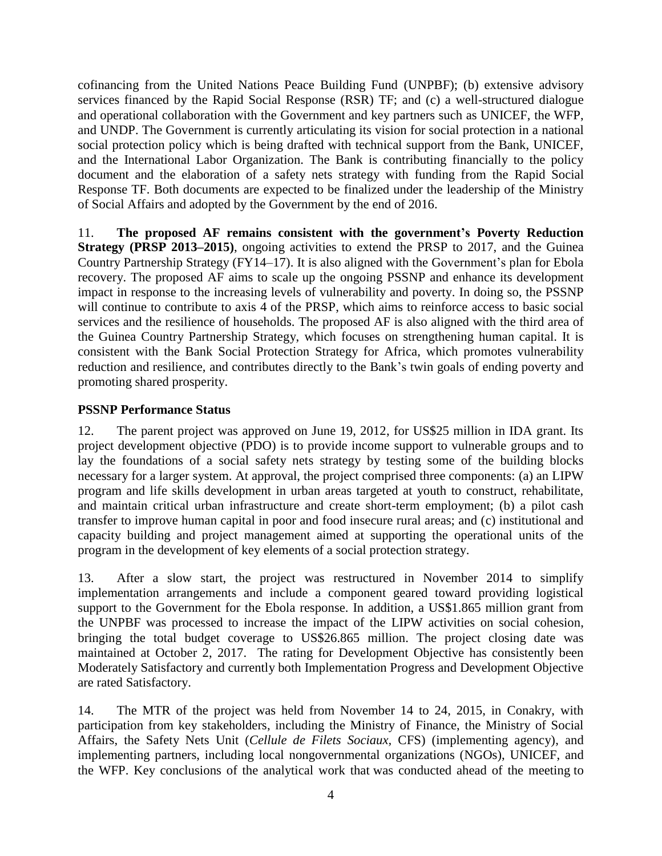cofinancing from the United Nations Peace Building Fund (UNPBF); (b) extensive advisory services financed by the Rapid Social Response (RSR) TF; and (c) a well-structured dialogue and operational collaboration with the Government and key partners such as UNICEF, the WFP, and UNDP. The Government is currently articulating its vision for social protection in a national social protection policy which is being drafted with technical support from the Bank, UNICEF, and the International Labor Organization. The Bank is contributing financially to the policy document and the elaboration of a safety nets strategy with funding from the Rapid Social Response TF. Both documents are expected to be finalized under the leadership of the Ministry of Social Affairs and adopted by the Government by the end of 2016.

11. **The proposed AF remains consistent with the government's Poverty Reduction Strategy (PRSP 2013–2015)**, ongoing activities to extend the PRSP to 2017, and the Guinea Country Partnership Strategy (FY14–17). It is also aligned with the Government's plan for Ebola recovery. The proposed AF aims to scale up the ongoing PSSNP and enhance its development impact in response to the increasing levels of vulnerability and poverty. In doing so, the PSSNP will continue to contribute to axis 4 of the PRSP, which aims to reinforce access to basic social services and the resilience of households. The proposed AF is also aligned with the third area of the Guinea Country Partnership Strategy, which focuses on strengthening human capital. It is consistent with the Bank Social Protection Strategy for Africa, which promotes vulnerability reduction and resilience, and contributes directly to the Bank's twin goals of ending poverty and promoting shared prosperity.

# **PSSNP Performance Status**

12. The parent project was approved on June 19, 2012, for US\$25 million in IDA grant. Its project development objective (PDO) is to provide income support to vulnerable groups and to lay the foundations of a social safety nets strategy by testing some of the building blocks necessary for a larger system. At approval, the project comprised three components: (a) an LIPW program and life skills development in urban areas targeted at youth to construct, rehabilitate, and maintain critical urban infrastructure and create short-term employment; (b) a pilot cash transfer to improve human capital in poor and food insecure rural areas; and (c) institutional and capacity building and project management aimed at supporting the operational units of the program in the development of key elements of a social protection strategy.

13. After a slow start, the project was restructured in November 2014 to simplify implementation arrangements and include a component geared toward providing logistical support to the Government for the Ebola response. In addition, a US\$1.865 million grant from the UNPBF was processed to increase the impact of the LIPW activities on social cohesion, bringing the total budget coverage to US\$26.865 million. The project closing date was maintained at October 2, 2017. The rating for Development Objective has consistently been Moderately Satisfactory and currently both Implementation Progress and Development Objective are rated Satisfactory.

14. The MTR of the project was held from November 14 to 24, 2015, in Conakry, with participation from key stakeholders, including the Ministry of Finance, the Ministry of Social Affairs, the Safety Nets Unit (*Cellule de Filets Sociaux,* CFS) (implementing agency), and implementing partners, including local nongovernmental organizations (NGOs), UNICEF, and the WFP. Key conclusions of the analytical work that was conducted ahead of the meeting to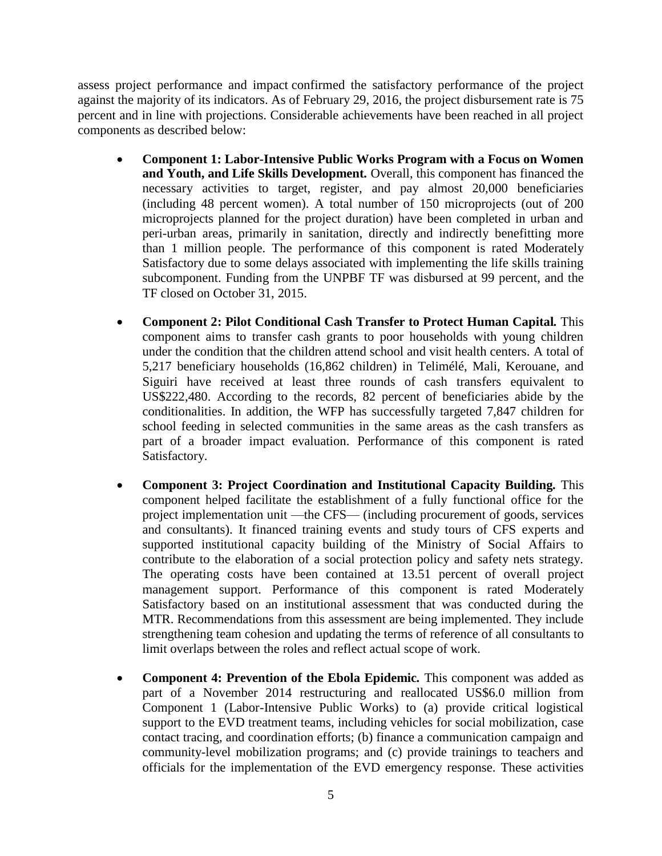assess project performance and impact confirmed the satisfactory performance of the project against the majority of its indicators. As of February 29, 2016, the project disbursement rate is 75 percent and in line with projections. Considerable achievements have been reached in all project components as described below:

- **Component 1: Labor-Intensive Public Works Program with a Focus on Women and Youth, and Life Skills Development***.* Overall, this component has financed the necessary activities to target, register, and pay almost 20,000 beneficiaries (including 48 percent women). A total number of 150 microprojects (out of 200 microprojects planned for the project duration) have been completed in urban and peri-urban areas, primarily in sanitation, directly and indirectly benefitting more than 1 million people. The performance of this component is rated Moderately Satisfactory due to some delays associated with implementing the life skills training subcomponent. Funding from the UNPBF TF was disbursed at 99 percent, and the TF closed on October 31, 2015.
- **Component 2: Pilot Conditional Cash Transfer to Protect Human Capital***.* This component aims to transfer cash grants to poor households with young children under the condition that the children attend school and visit health centers. A total of 5,217 beneficiary households (16,862 children) in Telimélé, Mali, Kerouane, and Siguiri have received at least three rounds of cash transfers equivalent to US\$222,480. According to the records, 82 percent of beneficiaries abide by the conditionalities. In addition, the WFP has successfully targeted 7,847 children for school feeding in selected communities in the same areas as the cash transfers as part of a broader impact evaluation. Performance of this component is rated Satisfactory.
- **Component 3: Project Coordination and Institutional Capacity Building***.* This component helped facilitate the establishment of a fully functional office for the project implementation unit —the CFS— (including procurement of goods, services and consultants). It financed training events and study tours of CFS experts and supported institutional capacity building of the Ministry of Social Affairs to contribute to the elaboration of a social protection policy and safety nets strategy. The operating costs have been contained at 13.51 percent of overall project management support. Performance of this component is rated Moderately Satisfactory based on an institutional assessment that was conducted during the MTR. Recommendations from this assessment are being implemented. They include strengthening team cohesion and updating the terms of reference of all consultants to limit overlaps between the roles and reflect actual scope of work.
- **Component 4: Prevention of the Ebola Epidemic***.* This component was added as part of a November 2014 restructuring and reallocated US\$6.0 million from Component 1 (Labor-Intensive Public Works) to (a) provide critical logistical support to the EVD treatment teams, including vehicles for social mobilization, case contact tracing, and coordination efforts; (b) finance a communication campaign and community-level mobilization programs; and (c) provide trainings to teachers and officials for the implementation of the EVD emergency response. These activities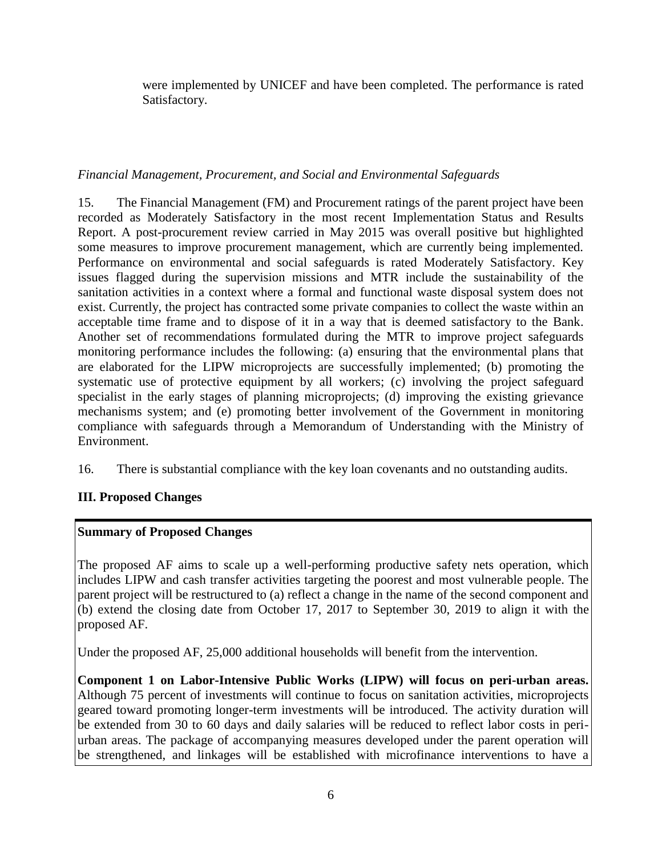were implemented by UNICEF and have been completed. The performance is rated Satisfactory.

# *Financial Management, Procurement, and Social and Environmental Safeguards*

15. The Financial Management (FM) and Procurement ratings of the parent project have been recorded as Moderately Satisfactory in the most recent Implementation Status and Results Report. A post-procurement review carried in May 2015 was overall positive but highlighted some measures to improve procurement management, which are currently being implemented. Performance on environmental and social safeguards is rated Moderately Satisfactory. Key issues flagged during the supervision missions and MTR include the sustainability of the sanitation activities in a context where a formal and functional waste disposal system does not exist. Currently, the project has contracted some private companies to collect the waste within an acceptable time frame and to dispose of it in a way that is deemed satisfactory to the Bank. Another set of recommendations formulated during the MTR to improve project safeguards monitoring performance includes the following: (a) ensuring that the environmental plans that are elaborated for the LIPW microprojects are successfully implemented; (b) promoting the systematic use of protective equipment by all workers; (c) involving the project safeguard specialist in the early stages of planning microprojects; (d) improving the existing grievance mechanisms system; and (e) promoting better involvement of the Government in monitoring compliance with safeguards through a Memorandum of Understanding with the Ministry of Environment.

16. There is substantial compliance with the key loan covenants and no outstanding audits.

# **III. Proposed Changes**

# **Summary of Proposed Changes**

The proposed AF aims to scale up a well-performing productive safety nets operation, which includes LIPW and cash transfer activities targeting the poorest and most vulnerable people. The parent project will be restructured to (a) reflect a change in the name of the second component and (b) extend the closing date from October 17, 2017 to September 30, 2019 to align it with the proposed AF.

Under the proposed AF, 25,000 additional households will benefit from the intervention.

**Component 1 on Labor-Intensive Public Works (LIPW) will focus on peri-urban areas.** Although 75 percent of investments will continue to focus on sanitation activities, microprojects geared toward promoting longer-term investments will be introduced. The activity duration will be extended from 30 to 60 days and daily salaries will be reduced to reflect labor costs in periurban areas. The package of accompanying measures developed under the parent operation will be strengthened, and linkages will be established with microfinance interventions to have a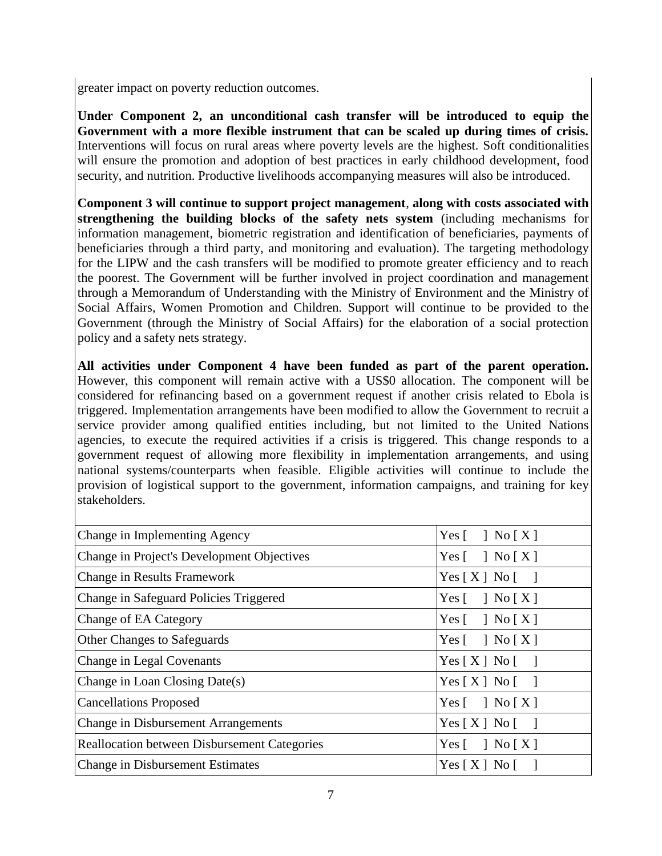greater impact on poverty reduction outcomes.

**Under Component 2, an unconditional cash transfer will be introduced to equip the Government with a more flexible instrument that can be scaled up during times of crisis.** Interventions will focus on rural areas where poverty levels are the highest. Soft conditionalities will ensure the promotion and adoption of best practices in early childhood development, food security, and nutrition. Productive livelihoods accompanying measures will also be introduced.

**Component 3 will continue to support project management**, **along with costs associated with strengthening the building blocks of the safety nets system** (including mechanisms for information management, biometric registration and identification of beneficiaries, payments of beneficiaries through a third party, and monitoring and evaluation). The targeting methodology for the LIPW and the cash transfers will be modified to promote greater efficiency and to reach the poorest. The Government will be further involved in project coordination and management through a Memorandum of Understanding with the Ministry of Environment and the Ministry of Social Affairs, Women Promotion and Children. Support will continue to be provided to the Government (through the Ministry of Social Affairs) for the elaboration of a social protection policy and a safety nets strategy.

**All activities under Component 4 have been funded as part of the parent operation.** However, this component will remain active with a US\$0 allocation. The component will be considered for refinancing based on a government request if another crisis related to Ebola is triggered. Implementation arrangements have been modified to allow the Government to recruit a service provider among qualified entities including, but not limited to the United Nations agencies, to execute the required activities if a crisis is triggered. This change responds to a government request of allowing more flexibility in implementation arrangements, and using national systems/counterparts when feasible. Eligible activities will continue to include the provision of logistical support to the government, information campaigns, and training for key stakeholders.

| Change in Implementing Agency                       | Yes $\lceil \ \ \rceil$ No $\lceil X \rceil$   |
|-----------------------------------------------------|------------------------------------------------|
| Change in Project's Development Objectives          | Yes $\lceil \quad \rceil$ No $\lceil X \rceil$ |
| <b>Change in Results Framework</b>                  | Yes [ X ] No [ ]                               |
| Change in Safeguard Policies Triggered              | Yes $\lceil \quad \rceil$ No $\lceil X \rceil$ |
| Change of EA Category                               | Yes $\lceil \quad \rceil$ No $\lceil X \rceil$ |
| Other Changes to Safeguards                         | Yes $\lceil \quad \rceil$ No $\lceil X \rceil$ |
| Change in Legal Covenants                           | Yes $[X]$ No $[$ ]                             |
| Change in Loan Closing Date(s)                      | $Yes[X] No$ []                                 |
| <b>Cancellations Proposed</b>                       | Yes $\lceil \quad \rceil$ No $\lceil X \rceil$ |
| <b>Change in Disbursement Arrangements</b>          | Yes[X] No[1]                                   |
| <b>Reallocation between Disbursement Categories</b> | Yes $\lceil \quad \rceil$ No $\lceil X \rceil$ |
| <b>Change in Disbursement Estimates</b>             | Yes[X] No[                                     |
|                                                     |                                                |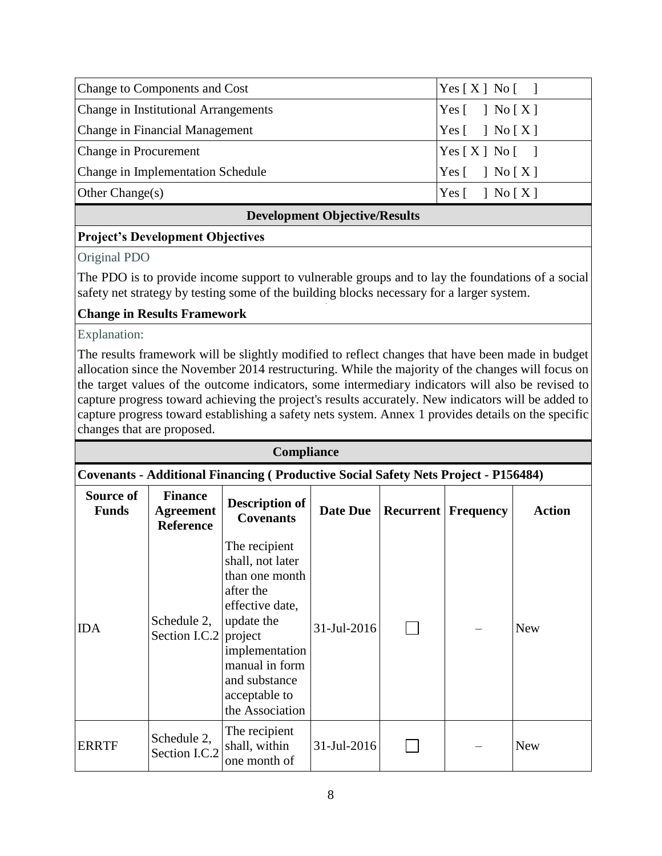| Yes $\lceil \quad \rceil$ No $\lceil X \rceil$ |
|------------------------------------------------|
|                                                |
| $Yes \lceil \rceil No \lceil X \rceil$         |
| $Yes[X] No$ []                                 |
| Yes $\lceil \quad \rceil$ No $\lceil X \rceil$ |
| Yes [ ] No [ X ]                               |
| $Yes[X] No$ []                                 |
|                                                |

# **Project's Development Objectives**

#### Original PDO

The PDO is to provide income support to vulnerable groups and to lay the foundations of a social safety net strategy by testing some of the building blocks necessary for a larger system.

### **Change in Results Framework**

Explanation:

The results framework will be slightly modified to reflect changes that have been made in budget allocation since the November 2014 restructuring. While the majority of the changes will focus on the target values of the outcome indicators, some intermediary indicators will also be revised to capture progress toward achieving the project's results accurately. New indicators will be added to capture progress toward establishing a safety nets system. Annex 1 provides details on the specific changes that are proposed.

| Compliance                                                                                |                                                        |                                                                                                                                                                                                       |                 |                  |                  |               |  |  |
|-------------------------------------------------------------------------------------------|--------------------------------------------------------|-------------------------------------------------------------------------------------------------------------------------------------------------------------------------------------------------------|-----------------|------------------|------------------|---------------|--|--|
| <b>Covenants - Additional Financing (Productive Social Safety Nets Project - P156484)</b> |                                                        |                                                                                                                                                                                                       |                 |                  |                  |               |  |  |
| Source of<br><b>Funds</b>                                                                 | <b>Finance</b><br><b>Agreement</b><br><b>Reference</b> | <b>Description of</b><br><b>Covenants</b>                                                                                                                                                             | <b>Date Due</b> | <b>Recurrent</b> | <b>Frequency</b> | <b>Action</b> |  |  |
| <b>IDA</b>                                                                                | Schedule 2,<br>Section I.C.2                           | The recipient<br>shall, not later<br>than one month<br>after the<br>effective date,<br>update the<br>project<br>implementation<br>manual in form<br>and substance<br>acceptable to<br>the Association | 31-Jul-2016     |                  |                  | <b>New</b>    |  |  |
| <b>ERRTF</b>                                                                              | Schedule 2,<br>Section I.C.2                           | The recipient<br>shall, within<br>one month of                                                                                                                                                        | 31-Jul-2016     |                  |                  | <b>New</b>    |  |  |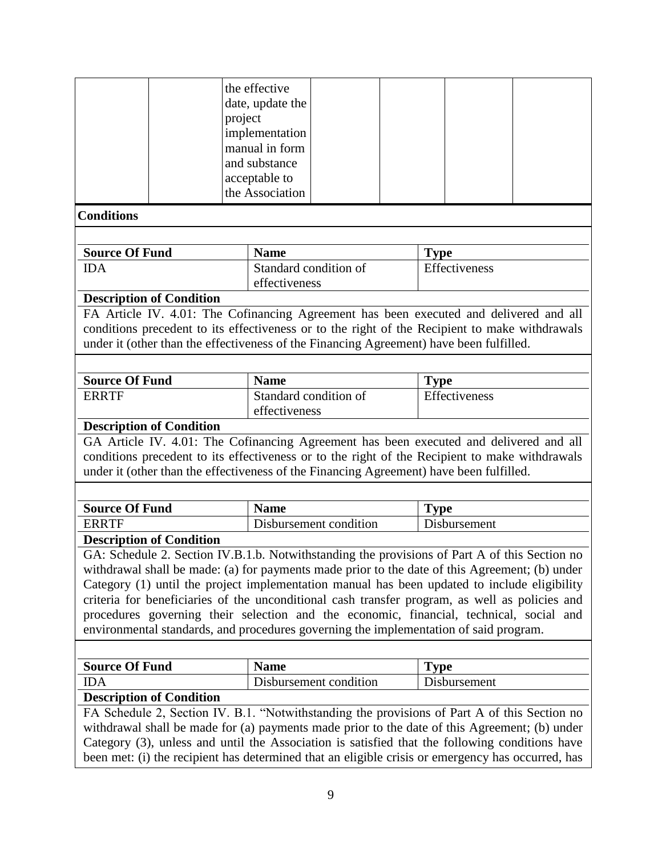|                                       |                                                                                                |         | the effective         |                        |               |             |               |                                                                                                   |
|---------------------------------------|------------------------------------------------------------------------------------------------|---------|-----------------------|------------------------|---------------|-------------|---------------|---------------------------------------------------------------------------------------------------|
|                                       |                                                                                                |         | date, update the      |                        |               |             |               |                                                                                                   |
|                                       |                                                                                                | project |                       |                        |               |             |               |                                                                                                   |
|                                       |                                                                                                |         | implementation        |                        |               |             |               |                                                                                                   |
|                                       |                                                                                                |         | manual in form        |                        |               |             |               |                                                                                                   |
|                                       | and substance                                                                                  |         |                       |                        |               |             |               |                                                                                                   |
|                                       |                                                                                                |         | acceptable to         |                        |               |             |               |                                                                                                   |
|                                       |                                                                                                |         | the Association       |                        |               |             |               |                                                                                                   |
| <b>Conditions</b>                     |                                                                                                |         |                       |                        |               |             |               |                                                                                                   |
|                                       |                                                                                                |         |                       |                        |               |             |               |                                                                                                   |
| <b>Source Of Fund</b>                 |                                                                                                |         | <b>Name</b>           |                        |               | <b>Type</b> |               |                                                                                                   |
| <b>IDA</b>                            |                                                                                                |         | Standard condition of |                        |               |             | Effectiveness |                                                                                                   |
|                                       |                                                                                                |         | effectiveness         |                        |               |             |               |                                                                                                   |
|                                       | <b>Description of Condition</b>                                                                |         |                       |                        |               |             |               |                                                                                                   |
|                                       |                                                                                                |         |                       |                        |               |             |               | FA Article IV. 4.01: The Cofinancing Agreement has been executed and delivered and all            |
|                                       | conditions precedent to its effectiveness or to the right of the Recipient to make withdrawals |         |                       |                        |               |             |               |                                                                                                   |
|                                       | under it (other than the effectiveness of the Financing Agreement) have been fulfilled.        |         |                       |                        |               |             |               |                                                                                                   |
|                                       |                                                                                                |         |                       |                        |               |             |               |                                                                                                   |
| <b>Source Of Fund</b>                 |                                                                                                |         | <b>Name</b>           |                        |               | <b>Type</b> |               |                                                                                                   |
| <b>ERRTF</b>                          |                                                                                                |         | Standard condition of |                        | Effectiveness |             |               |                                                                                                   |
|                                       |                                                                                                |         | effectiveness         |                        |               |             |               |                                                                                                   |
|                                       |                                                                                                |         |                       |                        |               |             |               |                                                                                                   |
|                                       | <b>Description of Condition</b>                                                                |         |                       |                        |               |             |               |                                                                                                   |
|                                       |                                                                                                |         |                       |                        |               |             |               | GA Article IV. 4.01: The Cofinancing Agreement has been executed and delivered and all            |
|                                       | conditions precedent to its effectiveness or to the right of the Recipient to make withdrawals |         |                       |                        |               |             |               |                                                                                                   |
|                                       | under it (other than the effectiveness of the Financing Agreement) have been fulfilled.        |         |                       |                        |               |             |               |                                                                                                   |
|                                       |                                                                                                |         |                       |                        |               |             |               |                                                                                                   |
|                                       |                                                                                                |         | <b>Name</b>           |                        |               |             |               |                                                                                                   |
| <b>Source Of Fund</b><br><b>ERRTF</b> |                                                                                                |         |                       |                        |               | <b>Type</b> | Disbursement  |                                                                                                   |
|                                       |                                                                                                |         |                       | Disbursement condition |               |             |               |                                                                                                   |
|                                       | <b>Description of Condition</b>                                                                |         |                       |                        |               |             |               |                                                                                                   |
|                                       | GA: Schedule 2. Section IV.B.1.b. Notwithstanding the provisions of Part A of this Section no  |         |                       |                        |               |             |               |                                                                                                   |
|                                       | withdrawal shall be made: (a) for payments made prior to the date of this Agreement; (b) under |         |                       |                        |               |             |               |                                                                                                   |
|                                       | Category (1) until the project implementation manual has been updated to include eligibility   |         |                       |                        |               |             |               |                                                                                                   |
|                                       |                                                                                                |         |                       |                        |               |             |               | criteria for beneficiaries of the unconditional cash transfer program, as well as policies and    |
|                                       |                                                                                                |         |                       |                        |               |             |               | procedures governing their selection and the economic, financial, technical, social and           |
|                                       | environmental standards, and procedures governing the implementation of said program.          |         |                       |                        |               |             |               |                                                                                                   |
|                                       |                                                                                                |         |                       |                        |               |             |               |                                                                                                   |
| <b>Source Of Fund</b>                 |                                                                                                |         | <b>Name</b>           |                        |               | <b>Type</b> |               |                                                                                                   |
| <b>IDA</b>                            |                                                                                                |         |                       | Disbursement condition |               |             | Disbursement  |                                                                                                   |
|                                       | <b>Description of Condition</b>                                                                |         |                       |                        |               |             |               |                                                                                                   |
|                                       |                                                                                                |         |                       |                        |               |             |               | FA Schedule 2, Section IV. B.1. "Notwithstanding the provisions of Part A of this Section no      |
|                                       | withdrawal shall be made for (a) payments made prior to the date of this Agreement; (b) under  |         |                       |                        |               |             |               |                                                                                                   |
|                                       | Category (3), unless and until the Association is satisfied that the following conditions have |         |                       |                        |               |             |               | been met: (i) the recipient has determined that an eligible crisis or emergency has occurred, has |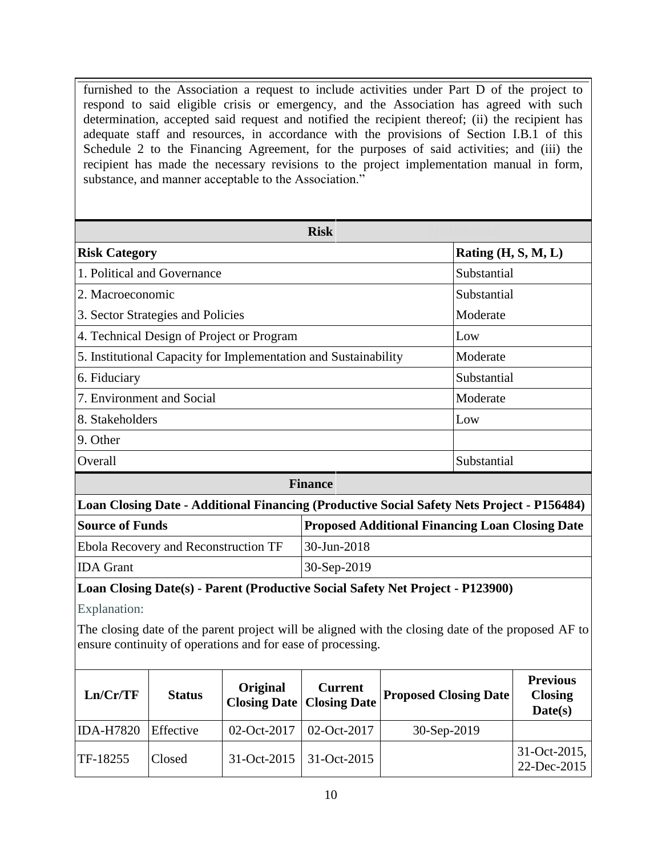furnished to the Association a request to include activities under Part D of the project to respond to said eligible crisis or emergency, and the Association has agreed with such determination, accepted said request and notified the recipient thereof; (ii) the recipient has adequate staff and resources, in accordance with the provisions of Section I.B.1 of this Schedule 2 to the Financing Agreement, for the purposes of said activities; and (iii) the recipient has made the necessary revisions to the project implementation manual in form, substance, and manner acceptable to the Association."

| <b>Risk</b>                                                     |                       |
|-----------------------------------------------------------------|-----------------------|
| <b>Risk Category</b>                                            | Rating $(H, S, M, L)$ |
| 1. Political and Governance                                     | Substantial           |
| 2. Macroeconomic                                                | Substantial           |
| 3. Sector Strategies and Policies                               | Moderate              |
| 4. Technical Design of Project or Program                       | Low                   |
| 5. Institutional Capacity for Implementation and Sustainability | Moderate              |
| 6. Fiduciary                                                    | Substantial           |
| 7. Environment and Social                                       | Moderate              |
| 8. Stakeholders                                                 | Low                   |
| 9. Other                                                        |                       |
| Overall                                                         | Substantial           |
| <b>Finance</b>                                                  |                       |

| Loan Closing Date - Additional Financing (Productive Social Safety Nets Project - P156484) |                                                        |  |  |  |
|--------------------------------------------------------------------------------------------|--------------------------------------------------------|--|--|--|
| <b>Source of Funds</b>                                                                     | <b>Proposed Additional Financing Loan Closing Date</b> |  |  |  |
| <b>Ebola Recovery and Reconstruction TF</b>                                                | $ 30 - Jun - 2018 $                                    |  |  |  |
| <b>IDA</b> Grant                                                                           | $ 30-Sep-2019 $                                        |  |  |  |

### **Loan Closing Date(s) - Parent (Productive Social Safety Net Project - P123900)**

Explanation:

The closing date of the parent project will be aligned with the closing date of the proposed AF to ensure continuity of operations and for ease of processing.

| Ln/Cr/TF         | <b>Status</b> | Original    | <b>Current</b><br><b>Closing Date   Closing Date</b> | <b>Proposed Closing Date</b> | <b>Previous</b><br><b>Closing</b><br>Date(s) |
|------------------|---------------|-------------|------------------------------------------------------|------------------------------|----------------------------------------------|
| <b>IDA-H7820</b> | Effective     | 02-Oct-2017 | $02$ -Oct-2017                                       | 30-Sep-2019                  |                                              |
| TF-18255         | Closed        |             | $31-Oct-2015$   31-Oct-2015                          |                              | $31-Oct-2015$ ,<br>22-Dec-2015               |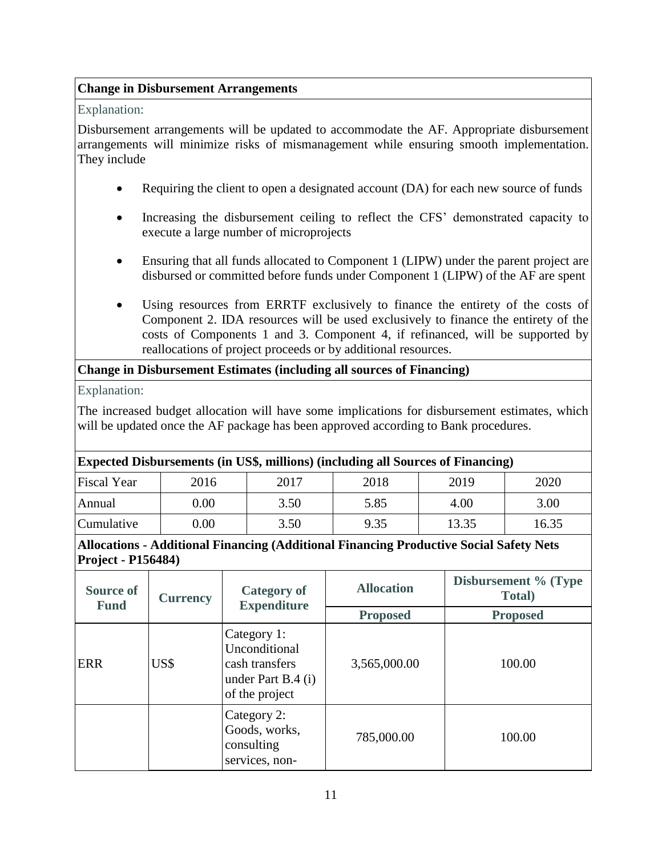# **Change in Disbursement Arrangements**

# Explanation:

Disbursement arrangements will be updated to accommodate the AF. Appropriate disbursement arrangements will minimize risks of mismanagement while ensuring smooth implementation. They include

- Requiring the client to open a designated account (DA) for each new source of funds
- Increasing the disbursement ceiling to reflect the CFS' demonstrated capacity to execute a large number of microprojects
- Ensuring that all funds allocated to Component 1 (LIPW) under the parent project are disbursed or committed before funds under Component 1 (LIPW) of the AF are spent
- Using resources from ERRTF exclusively to finance the entirety of the costs of Component 2. IDA resources will be used exclusively to finance the entirety of the costs of Components 1 and 3. Component 4, if refinanced, will be supported by reallocations of project proceeds or by additional resources.

# **Change in Disbursement Estimates (including all sources of Financing)**

# Explanation:

The increased budget allocation will have some implications for disbursement estimates, which will be updated once the AF package has been approved according to Bank procedures.

| <b>Expected Disbursements (in US\$, millions) (including all Sources of Financing)</b> |          |      |      |       |       |  |  |
|----------------------------------------------------------------------------------------|----------|------|------|-------|-------|--|--|
| <b>Fiscal Year</b>                                                                     | 2016     | 2017 | 2018 | 2019  | 2020  |  |  |
| Annual                                                                                 | $0.00\,$ | 3.50 | 5.85 | 4.00  | 3.00  |  |  |
| Cumulative                                                                             | $0.00\,$ | 3.50 | 9.35 | 13.35 | 16.35 |  |  |

### **Allocations - Additional Financing (Additional Financing Productive Social Safety Nets Project - P156484)**

| <b>Source of</b><br><b>Fund</b> | <b>Currency</b> | <b>Category of</b><br><b>Expenditure</b>                                                 | <b>Allocation</b> | Disbursement % (Type<br><b>Total</b> ) |  |
|---------------------------------|-----------------|------------------------------------------------------------------------------------------|-------------------|----------------------------------------|--|
|                                 |                 |                                                                                          | <b>Proposed</b>   | <b>Proposed</b>                        |  |
| <b>ERR</b>                      | US\$            | Category 1:<br>Unconditional<br>cash transfers<br>under Part B.4 $(i)$<br>of the project | 3,565,000.00      | 100.00                                 |  |
|                                 |                 | Category 2:<br>Goods, works,<br>consulting<br>services, non-                             | 785,000.00        | 100.00                                 |  |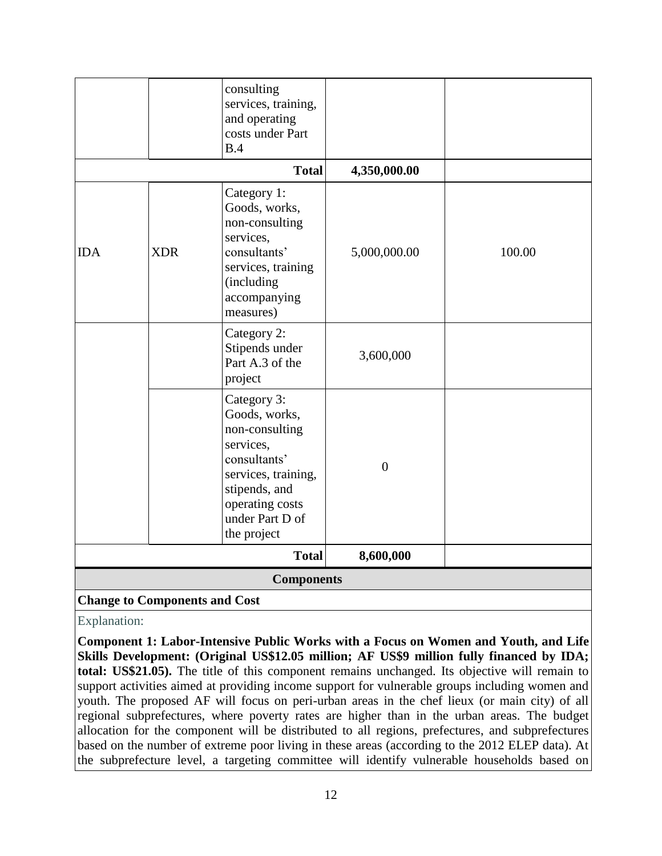|            | <b>Change to Components and Cost</b> |                                                                                                                                                                          |                |        |
|------------|--------------------------------------|--------------------------------------------------------------------------------------------------------------------------------------------------------------------------|----------------|--------|
|            |                                      | <b>Components</b>                                                                                                                                                        |                |        |
|            |                                      | <b>Total</b>                                                                                                                                                             | 8,600,000      |        |
|            |                                      | Category 3:<br>Goods, works,<br>non-consulting<br>services,<br>consultants'<br>services, training,<br>stipends, and<br>operating costs<br>under Part D of<br>the project | $\overline{0}$ |        |
|            |                                      | Category 2:<br>Stipends under<br>Part A.3 of the<br>project                                                                                                              | 3,600,000      |        |
| <b>IDA</b> | <b>XDR</b>                           | Category 1:<br>Goods, works,<br>non-consulting<br>services,<br>consultants'<br>services, training<br>(including<br>accompanying<br>measures)                             | 5,000,000.00   | 100.00 |
|            |                                      | <b>Total</b>                                                                                                                                                             | 4,350,000.00   |        |
|            |                                      | consulting<br>services, training,<br>and operating<br>costs under Part<br>B.4                                                                                            |                |        |
|            |                                      |                                                                                                                                                                          |                |        |

Explanation:

**Component 1: Labor-Intensive Public Works with a Focus on Women and Youth, and Life Skills Development: (Original US\$12.05 million; AF US\$9 million fully financed by IDA; total: US\$21.05).** The title of this component remains unchanged. Its objective will remain to support activities aimed at providing income support for vulnerable groups including women and youth. The proposed AF will focus on peri-urban areas in the chef lieux (or main city) of all regional subprefectures, where poverty rates are higher than in the urban areas. The budget allocation for the component will be distributed to all regions, prefectures, and subprefectures based on the number of extreme poor living in these areas (according to the 2012 ELEP data). At the subprefecture level, a targeting committee will identify vulnerable households based on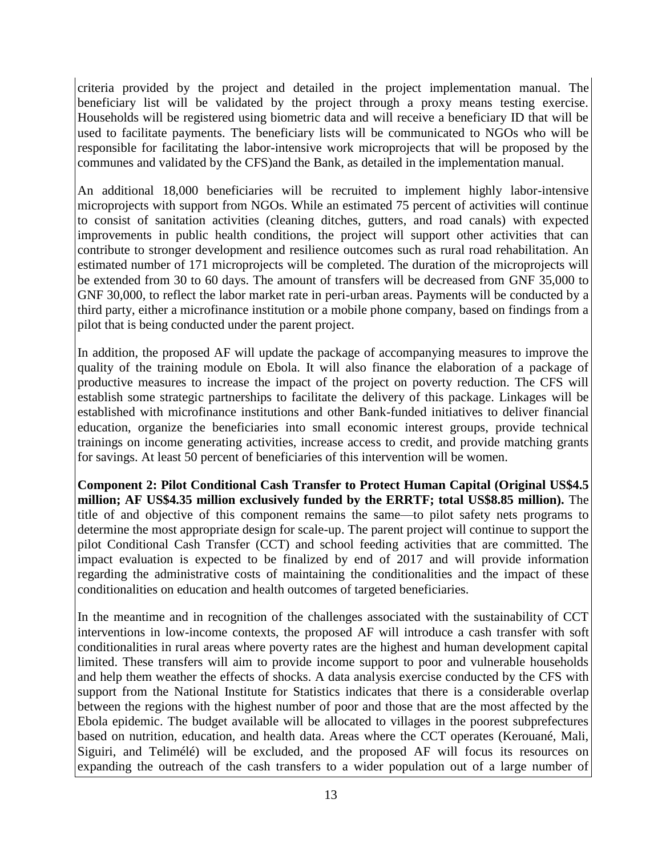criteria provided by the project and detailed in the project implementation manual. The beneficiary list will be validated by the project through a proxy means testing exercise. Households will be registered using biometric data and will receive a beneficiary ID that will be used to facilitate payments. The beneficiary lists will be communicated to NGOs who will be responsible for facilitating the labor-intensive work microprojects that will be proposed by the communes and validated by the CFS)and the Bank, as detailed in the implementation manual.

An additional 18,000 beneficiaries will be recruited to implement highly labor-intensive microprojects with support from NGOs. While an estimated 75 percent of activities will continue to consist of sanitation activities (cleaning ditches, gutters, and road canals) with expected improvements in public health conditions, the project will support other activities that can contribute to stronger development and resilience outcomes such as rural road rehabilitation. An estimated number of 171 microprojects will be completed. The duration of the microprojects will be extended from 30 to 60 days. The amount of transfers will be decreased from GNF 35,000 to GNF 30,000, to reflect the labor market rate in peri-urban areas. Payments will be conducted by a third party, either a microfinance institution or a mobile phone company, based on findings from a pilot that is being conducted under the parent project.

In addition, the proposed AF will update the package of accompanying measures to improve the quality of the training module on Ebola. It will also finance the elaboration of a package of productive measures to increase the impact of the project on poverty reduction. The CFS will establish some strategic partnerships to facilitate the delivery of this package. Linkages will be established with microfinance institutions and other Bank-funded initiatives to deliver financial education, organize the beneficiaries into small economic interest groups, provide technical trainings on income generating activities, increase access to credit, and provide matching grants for savings. At least 50 percent of beneficiaries of this intervention will be women.

**Component 2: Pilot Conditional Cash Transfer to Protect Human Capital (Original US\$4.5 million; AF US\$4.35 million exclusively funded by the ERRTF; total US\$8.85 million).** The title of and objective of this component remains the same—to pilot safety nets programs to determine the most appropriate design for scale-up. The parent project will continue to support the pilot Conditional Cash Transfer (CCT) and school feeding activities that are committed. The impact evaluation is expected to be finalized by end of 2017 and will provide information regarding the administrative costs of maintaining the conditionalities and the impact of these conditionalities on education and health outcomes of targeted beneficiaries.

In the meantime and in recognition of the challenges associated with the sustainability of CCT interventions in low-income contexts, the proposed AF will introduce a cash transfer with soft conditionalities in rural areas where poverty rates are the highest and human development capital limited. These transfers will aim to provide income support to poor and vulnerable households and help them weather the effects of shocks. A data analysis exercise conducted by the CFS with support from the National Institute for Statistics indicates that there is a considerable overlap between the regions with the highest number of poor and those that are the most affected by the Ebola epidemic. The budget available will be allocated to villages in the poorest subprefectures based on nutrition, education, and health data. Areas where the CCT operates (Kerouané, Mali, Siguiri, and Telimélé) will be excluded, and the proposed AF will focus its resources on expanding the outreach of the cash transfers to a wider population out of a large number of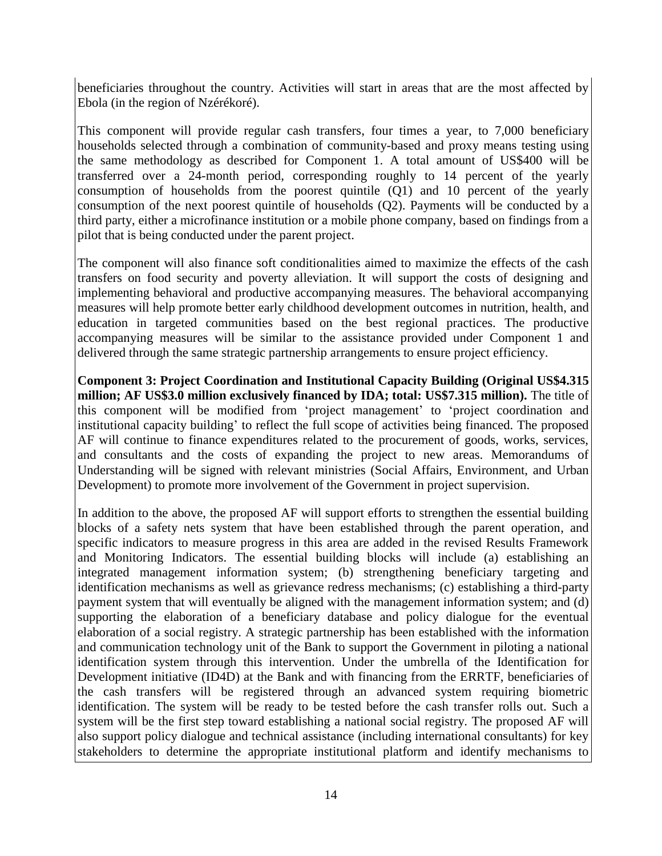beneficiaries throughout the country. Activities will start in areas that are the most affected by Ebola (in the region of Nzérékoré).

This component will provide regular cash transfers, four times a year, to 7,000 beneficiary households selected through a combination of community-based and proxy means testing using the same methodology as described for Component 1. A total amount of US\$400 will be transferred over a 24-month period, corresponding roughly to 14 percent of the yearly consumption of households from the poorest quintile (Q1) and 10 percent of the yearly consumption of the next poorest quintile of households (Q2). Payments will be conducted by a third party, either a microfinance institution or a mobile phone company, based on findings from a pilot that is being conducted under the parent project.

The component will also finance soft conditionalities aimed to maximize the effects of the cash transfers on food security and poverty alleviation. It will support the costs of designing and implementing behavioral and productive accompanying measures. The behavioral accompanying measures will help promote better early childhood development outcomes in nutrition, health, and education in targeted communities based on the best regional practices. The productive accompanying measures will be similar to the assistance provided under Component 1 and delivered through the same strategic partnership arrangements to ensure project efficiency.

**Component 3: Project Coordination and Institutional Capacity Building (Original US\$4.315 million; AF US\$3.0 million exclusively financed by IDA; total: US\$7.315 million).** The title of this component will be modified from 'project management' to 'project coordination and institutional capacity building' to reflect the full scope of activities being financed. The proposed AF will continue to finance expenditures related to the procurement of goods, works, services, and consultants and the costs of expanding the project to new areas. Memorandums of Understanding will be signed with relevant ministries (Social Affairs, Environment, and Urban Development) to promote more involvement of the Government in project supervision.

In addition to the above, the proposed AF will support efforts to strengthen the essential building blocks of a safety nets system that have been established through the parent operation, and specific indicators to measure progress in this area are added in the revised Results Framework and Monitoring Indicators. The essential building blocks will include (a) establishing an integrated management information system; (b) strengthening beneficiary targeting and identification mechanisms as well as grievance redress mechanisms; (c) establishing a third-party payment system that will eventually be aligned with the management information system; and (d) supporting the elaboration of a beneficiary database and policy dialogue for the eventual elaboration of a social registry. A strategic partnership has been established with the information and communication technology unit of the Bank to support the Government in piloting a national identification system through this intervention. Under the umbrella of the Identification for Development initiative (ID4D) at the Bank and with financing from the ERRTF, beneficiaries of the cash transfers will be registered through an advanced system requiring biometric identification. The system will be ready to be tested before the cash transfer rolls out. Such a system will be the first step toward establishing a national social registry. The proposed AF will also support policy dialogue and technical assistance (including international consultants) for key stakeholders to determine the appropriate institutional platform and identify mechanisms to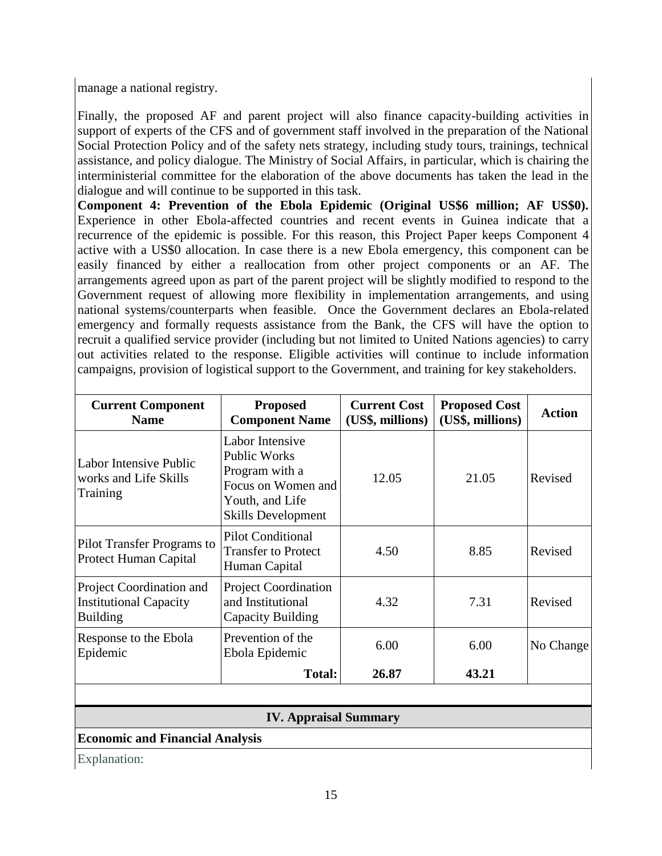manage a national registry.

Finally, the proposed AF and parent project will also finance capacity-building activities in support of experts of the CFS and of government staff involved in the preparation of the National Social Protection Policy and of the safety nets strategy, including study tours, trainings, technical assistance, and policy dialogue. The Ministry of Social Affairs, in particular, which is chairing the interministerial committee for the elaboration of the above documents has taken the lead in the dialogue and will continue to be supported in this task.

**Component 4: Prevention of the Ebola Epidemic (Original US\$6 million; AF US\$0).** Experience in other Ebola-affected countries and recent events in Guinea indicate that a recurrence of the epidemic is possible. For this reason, this Project Paper keeps Component 4 active with a US\$0 allocation. In case there is a new Ebola emergency, this component can be easily financed by either a reallocation from other project components or an AF. The arrangements agreed upon as part of the parent project will be slightly modified to respond to the Government request of allowing more flexibility in implementation arrangements, and using national systems/counterparts when feasible. Once the Government declares an Ebola-related emergency and formally requests assistance from the Bank, the CFS will have the option to recruit a qualified service provider (including but not limited to United Nations agencies) to carry out activities related to the response. Eligible activities will continue to include information campaigns, provision of logistical support to the Government, and training for key stakeholders.

| <b>Current Component</b><br><b>Name</b>                                      | <b>Proposed</b><br><b>Component Name</b>                                                                                       | <b>Current Cost</b><br>(US\$, millions) | <b>Proposed Cost</b><br>(US\$, millions) | <b>Action</b> |
|------------------------------------------------------------------------------|--------------------------------------------------------------------------------------------------------------------------------|-----------------------------------------|------------------------------------------|---------------|
| Labor Intensive Public<br>works and Life Skills<br>Training                  | Labor Intensive<br><b>Public Works</b><br>Program with a<br>Focus on Women and<br>Youth, and Life<br><b>Skills Development</b> | 12.05                                   | 21.05                                    | Revised       |
| Pilot Transfer Programs to<br>Protect Human Capital                          | <b>Pilot Conditional</b><br><b>Transfer to Protect</b><br>Human Capital                                                        | 4.50                                    | 8.85                                     | Revised       |
| Project Coordination and<br><b>Institutional Capacity</b><br><b>Building</b> | <b>Project Coordination</b><br>and Institutional<br>Capacity Building                                                          | 4.32                                    | 7.31                                     | Revised       |
| Response to the Ebola<br>Epidemic                                            | Prevention of the<br>Ebola Epidemic                                                                                            | 6.00                                    | 6.00                                     | No Change     |
|                                                                              | <b>Total:</b>                                                                                                                  | 26.87                                   | 43.21                                    |               |
| <b>Economic and Financial Analysis</b>                                       | <b>IV. Appraisal Summary</b>                                                                                                   |                                         |                                          |               |

Explanation: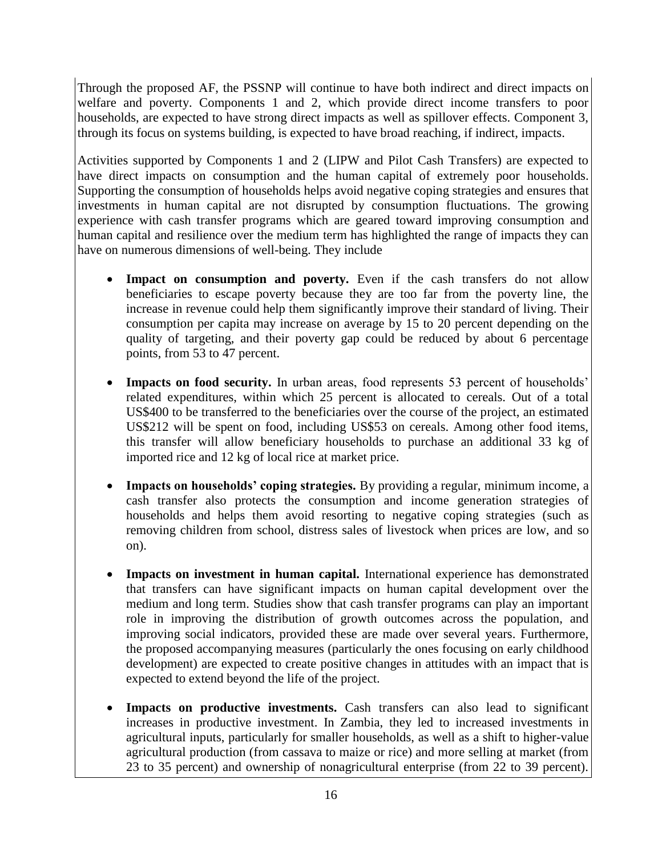Through the proposed AF, the PSSNP will continue to have both indirect and direct impacts on welfare and poverty. Components 1 and 2, which provide direct income transfers to poor households, are expected to have strong direct impacts as well as spillover effects. Component 3, through its focus on systems building, is expected to have broad reaching, if indirect, impacts.

Activities supported by Components 1 and 2 (LIPW and Pilot Cash Transfers) are expected to have direct impacts on consumption and the human capital of extremely poor households. Supporting the consumption of households helps avoid negative coping strategies and ensures that investments in human capital are not disrupted by consumption fluctuations. The growing experience with cash transfer programs which are geared toward improving consumption and human capital and resilience over the medium term has highlighted the range of impacts they can have on numerous dimensions of well-being. They include

- **Impact on consumption and poverty.** Even if the cash transfers do not allow beneficiaries to escape poverty because they are too far from the poverty line, the increase in revenue could help them significantly improve their standard of living. Their consumption per capita may increase on average by 15 to 20 percent depending on the quality of targeting, and their poverty gap could be reduced by about 6 percentage points, from 53 to 47 percent.
- Impacts on food security. In urban areas, food represents 53 percent of households' related expenditures, within which 25 percent is allocated to cereals. Out of a total US\$400 to be transferred to the beneficiaries over the course of the project, an estimated US\$212 will be spent on food, including US\$53 on cereals. Among other food items, this transfer will allow beneficiary households to purchase an additional 33 kg of imported rice and 12 kg of local rice at market price.
- **Impacts on households' coping strategies.** By providing a regular, minimum income, a cash transfer also protects the consumption and income generation strategies of households and helps them avoid resorting to negative coping strategies (such as removing children from school, distress sales of livestock when prices are low, and so on).
- **Impacts on investment in human capital.** International experience has demonstrated that transfers can have significant impacts on human capital development over the medium and long term. Studies show that cash transfer programs can play an important role in improving the distribution of growth outcomes across the population, and improving social indicators, provided these are made over several years. Furthermore, the proposed accompanying measures (particularly the ones focusing on early childhood development) are expected to create positive changes in attitudes with an impact that is expected to extend beyond the life of the project.
- **Impacts on productive investments.** Cash transfers can also lead to significant increases in productive investment. In Zambia, they led to increased investments in agricultural inputs, particularly for smaller households, as well as a shift to higher-value agricultural production (from cassava to maize or rice) and more selling at market (from 23 to 35 percent) and ownership of nonagricultural enterprise (from 22 to 39 percent).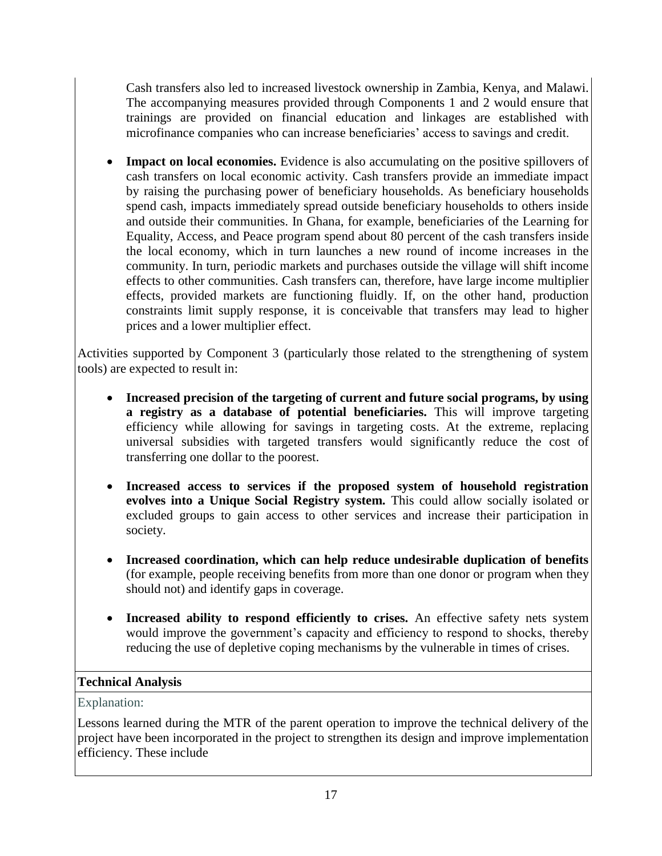Cash transfers also led to increased livestock ownership in Zambia, Kenya, and Malawi. The accompanying measures provided through Components 1 and 2 would ensure that trainings are provided on financial education and linkages are established with microfinance companies who can increase beneficiaries' access to savings and credit.

 **Impact on local economies.** Evidence is also accumulating on the positive spillovers of cash transfers on local economic activity. Cash transfers provide an immediate impact by raising the purchasing power of beneficiary households. As beneficiary households spend cash, impacts immediately spread outside beneficiary households to others inside and outside their communities. In Ghana, for example, beneficiaries of the Learning for Equality, Access, and Peace program spend about 80 percent of the cash transfers inside the local economy, which in turn launches a new round of income increases in the community. In turn, periodic markets and purchases outside the village will shift income effects to other communities. Cash transfers can, therefore, have large income multiplier effects, provided markets are functioning fluidly. If, on the other hand, production constraints limit supply response, it is conceivable that transfers may lead to higher prices and a lower multiplier effect.

Activities supported by Component 3 (particularly those related to the strengthening of system tools) are expected to result in:

- **Increased precision of the targeting of current and future social programs, by using a registry as a database of potential beneficiaries.** This will improve targeting efficiency while allowing for savings in targeting costs. At the extreme, replacing universal subsidies with targeted transfers would significantly reduce the cost of transferring one dollar to the poorest.
- **Increased access to services if the proposed system of household registration evolves into a Unique Social Registry system.** This could allow socially isolated or excluded groups to gain access to other services and increase their participation in society.
- **Increased coordination, which can help reduce undesirable duplication of benefits** (for example, people receiving benefits from more than one donor or program when they should not) and identify gaps in coverage.
- **Increased ability to respond efficiently to crises.** An effective safety nets system would improve the government's capacity and efficiency to respond to shocks, thereby reducing the use of depletive coping mechanisms by the vulnerable in times of crises.

### **Technical Analysis**

#### Explanation:

Lessons learned during the MTR of the parent operation to improve the technical delivery of the project have been incorporated in the project to strengthen its design and improve implementation efficiency. These include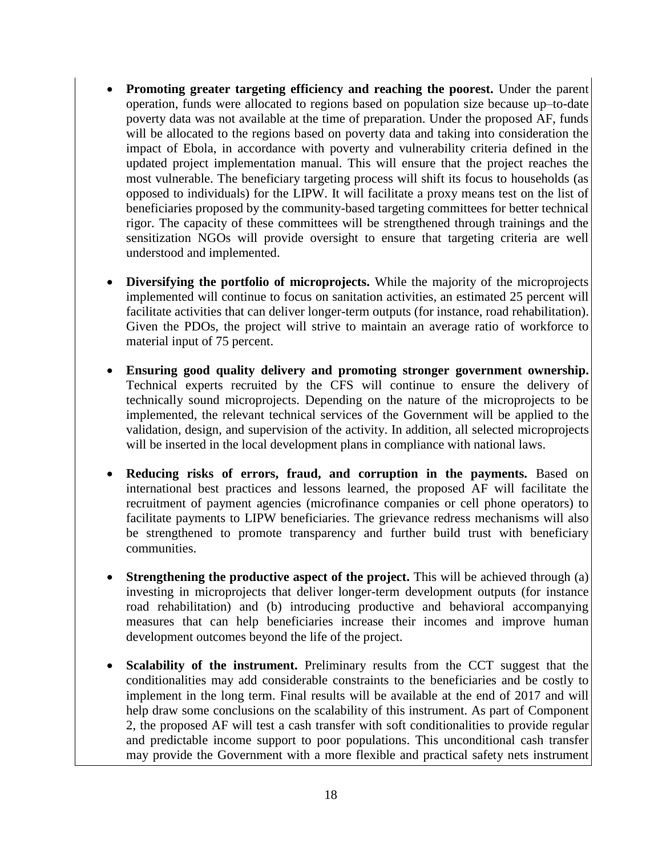- **Promoting greater targeting efficiency and reaching the poorest.** Under the parent operation, funds were allocated to regions based on population size because up–to-date poverty data was not available at the time of preparation. Under the proposed AF, funds will be allocated to the regions based on poverty data and taking into consideration the impact of Ebola, in accordance with poverty and vulnerability criteria defined in the updated project implementation manual. This will ensure that the project reaches the most vulnerable. The beneficiary targeting process will shift its focus to households (as opposed to individuals) for the LIPW. It will facilitate a proxy means test on the list of beneficiaries proposed by the community-based targeting committees for better technical rigor. The capacity of these committees will be strengthened through trainings and the sensitization NGOs will provide oversight to ensure that targeting criteria are well understood and implemented.
- **Diversifying the portfolio of microprojects.** While the majority of the microprojects implemented will continue to focus on sanitation activities, an estimated 25 percent will facilitate activities that can deliver longer-term outputs (for instance, road rehabilitation). Given the PDOs, the project will strive to maintain an average ratio of workforce to material input of 75 percent.
- **Ensuring good quality delivery and promoting stronger government ownership.** Technical experts recruited by the CFS will continue to ensure the delivery of technically sound microprojects. Depending on the nature of the microprojects to be implemented, the relevant technical services of the Government will be applied to the validation, design, and supervision of the activity. In addition, all selected microprojects will be inserted in the local development plans in compliance with national laws.
- **Reducing risks of errors, fraud, and corruption in the payments.** Based on international best practices and lessons learned, the proposed AF will facilitate the recruitment of payment agencies (microfinance companies or cell phone operators) to facilitate payments to LIPW beneficiaries. The grievance redress mechanisms will also be strengthened to promote transparency and further build trust with beneficiary communities.
- **Strengthening the productive aspect of the project.** This will be achieved through (a) investing in microprojects that deliver longer-term development outputs (for instance road rehabilitation) and (b) introducing productive and behavioral accompanying measures that can help beneficiaries increase their incomes and improve human development outcomes beyond the life of the project.
- **Scalability of the instrument.** Preliminary results from the CCT suggest that the conditionalities may add considerable constraints to the beneficiaries and be costly to implement in the long term. Final results will be available at the end of 2017 and will help draw some conclusions on the scalability of this instrument. As part of Component 2, the proposed AF will test a cash transfer with soft conditionalities to provide regular and predictable income support to poor populations. This unconditional cash transfer may provide the Government with a more flexible and practical safety nets instrument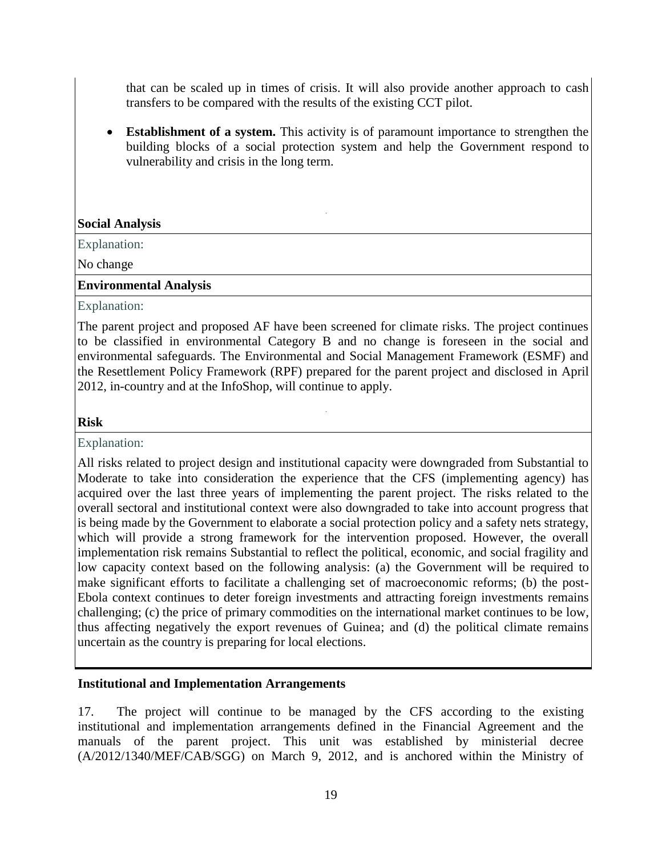that can be scaled up in times of crisis. It will also provide another approach to cash transfers to be compared with the results of the existing CCT pilot.

 **Establishment of a system.** This activity is of paramount importance to strengthen the building blocks of a social protection system and help the Government respond to vulnerability and crisis in the long term.

#### **Social Analysis**

Explanation:

No change

#### **Environmental Analysis**

#### Explanation:

The parent project and proposed AF have been screened for climate risks. The project continues to be classified in environmental Category B and no change is foreseen in the social and environmental safeguards. The Environmental and Social Management Framework (ESMF) and the Resettlement Policy Framework (RPF) prepared for the parent project and disclosed in April 2012, in-country and at the InfoShop, will continue to apply.

#### **Risk**

Explanation:

All risks related to project design and institutional capacity were downgraded from Substantial to Moderate to take into consideration the experience that the CFS (implementing agency) has acquired over the last three years of implementing the parent project. The risks related to the overall sectoral and institutional context were also downgraded to take into account progress that is being made by the Government to elaborate a social protection policy and a safety nets strategy, which will provide a strong framework for the intervention proposed. However, the overall implementation risk remains Substantial to reflect the political, economic, and social fragility and low capacity context based on the following analysis: (a) the Government will be required to make significant efforts to facilitate a challenging set of macroeconomic reforms; (b) the post-Ebola context continues to deter foreign investments and attracting foreign investments remains challenging; (c) the price of primary commodities on the international market continues to be low, thus affecting negatively the export revenues of Guinea; and (d) the political climate remains uncertain as the country is preparing for local elections.

#### **Institutional and Implementation Arrangements**

17. The project will continue to be managed by the CFS according to the existing institutional and implementation arrangements defined in the Financial Agreement and the manuals of the parent project. This unit was established by ministerial decree (A/2012/1340/MEF/CAB/SGG) on March 9, 2012, and is anchored within the Ministry of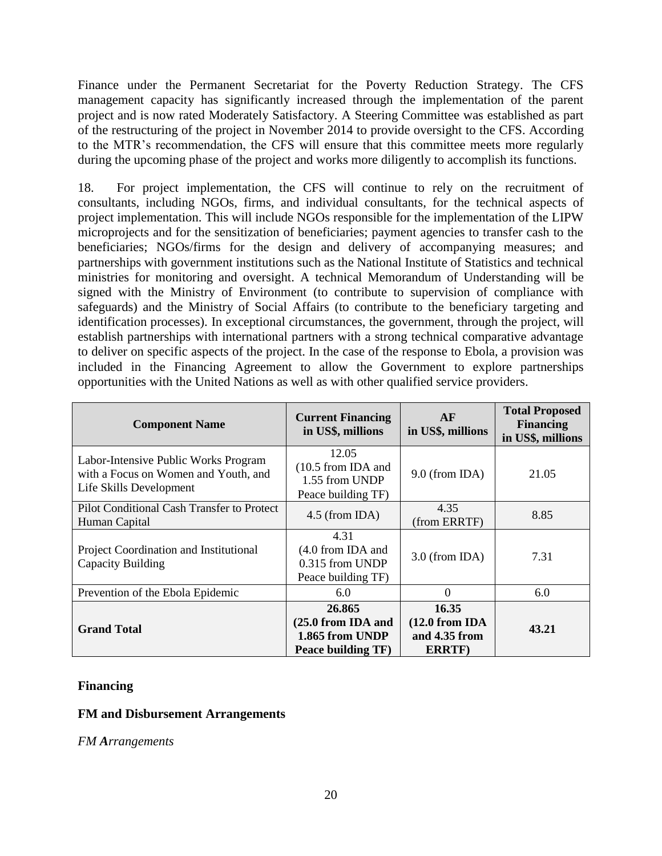Finance under the Permanent Secretariat for the Poverty Reduction Strategy. The CFS management capacity has significantly increased through the implementation of the parent project and is now rated Moderately Satisfactory. A Steering Committee was established as part of the restructuring of the project in November 2014 to provide oversight to the CFS. According to the MTR's recommendation, the CFS will ensure that this committee meets more regularly during the upcoming phase of the project and works more diligently to accomplish its functions.

18. For project implementation, the CFS will continue to rely on the recruitment of consultants, including NGOs, firms, and individual consultants, for the technical aspects of project implementation. This will include NGOs responsible for the implementation of the LIPW microprojects and for the sensitization of beneficiaries; payment agencies to transfer cash to the beneficiaries; NGOs/firms for the design and delivery of accompanying measures; and partnerships with government institutions such as the National Institute of Statistics and technical ministries for monitoring and oversight. A technical Memorandum of Understanding will be signed with the Ministry of Environment (to contribute to supervision of compliance with safeguards) and the Ministry of Social Affairs (to contribute to the beneficiary targeting and identification processes). In exceptional circumstances, the government, through the project, will establish partnerships with international partners with a strong technical comparative advantage to deliver on specific aspects of the project. In the case of the response to Ebola, a provision was included in the Financing Agreement to allow the Government to explore partnerships opportunities with the United Nations as well as with other qualified service providers.

| <b>Component Name</b>                                                                                   | <b>Current Financing</b><br>in US\$, millions                         | AF<br>in US\$, millions                                     | <b>Total Proposed</b><br><b>Financing</b><br>in US\$, millions |
|---------------------------------------------------------------------------------------------------------|-----------------------------------------------------------------------|-------------------------------------------------------------|----------------------------------------------------------------|
| Labor-Intensive Public Works Program<br>with a Focus on Women and Youth, and<br>Life Skills Development | 12.05<br>$(10.5$ from IDA and<br>1.55 from UNDP<br>Peace building TF) | 9.0 (from IDA)                                              | 21.05                                                          |
| Pilot Conditional Cash Transfer to Protect<br>Human Capital                                             | $4.5$ (from IDA)                                                      | 4.35<br>(from ERRTF)                                        | 8.85                                                           |
| Project Coordination and Institutional<br>Capacity Building                                             | 4.31<br>(4.0 from IDA and<br>0.315 from UNDP<br>Peace building TF)    | $3.0$ (from IDA)                                            | 7.31                                                           |
| Prevention of the Ebola Epidemic                                                                        | 6.0                                                                   | $\Omega$                                                    | 6.0                                                            |
| <b>Grand Total</b>                                                                                      | 26.865<br>(25.0 from IDA and<br>1.865 from UNDP<br>Peace building TF) | 16.35<br>$(12.0$ from IDA<br>and 4.35 from<br><b>ERRTF)</b> | 43.21                                                          |

#### **Financing**

#### **FM and Disbursement Arrangements**

*FM Arrangements*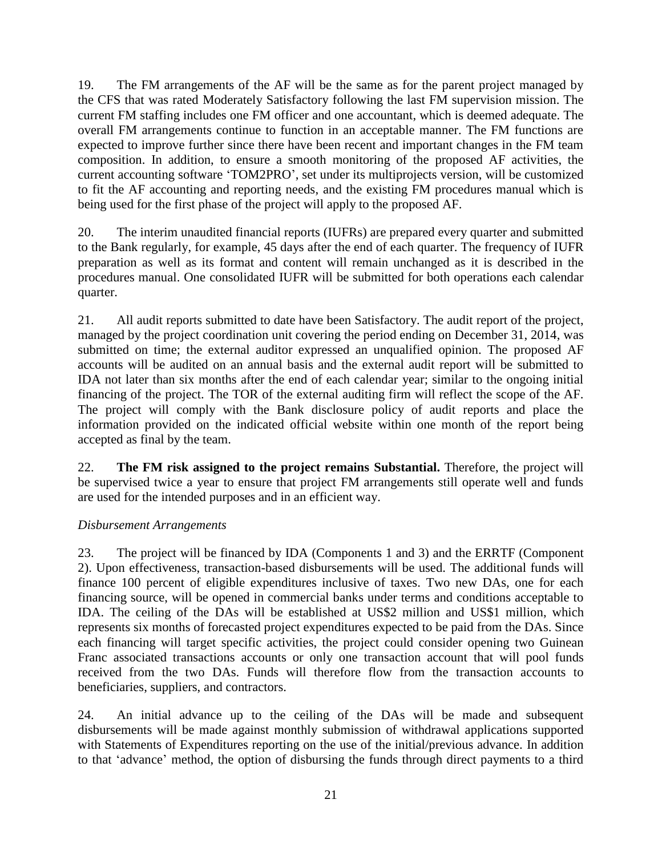19. The FM arrangements of the AF will be the same as for the parent project managed by the CFS that was rated Moderately Satisfactory following the last FM supervision mission. The current FM staffing includes one FM officer and one accountant, which is deemed adequate. The overall FM arrangements continue to function in an acceptable manner. The FM functions are expected to improve further since there have been recent and important changes in the FM team composition. In addition, to ensure a smooth monitoring of the proposed AF activities, the current accounting software 'TOM2PRO', set under its multiprojects version, will be customized to fit the AF accounting and reporting needs, and the existing FM procedures manual which is being used for the first phase of the project will apply to the proposed AF.

20. The interim unaudited financial reports (IUFRs) are prepared every quarter and submitted to the Bank regularly, for example, 45 days after the end of each quarter. The frequency of IUFR preparation as well as its format and content will remain unchanged as it is described in the procedures manual. One consolidated IUFR will be submitted for both operations each calendar quarter.

21. All audit reports submitted to date have been Satisfactory. The audit report of the project, managed by the project coordination unit covering the period ending on December 31, 2014, was submitted on time; the external auditor expressed an unqualified opinion. The proposed AF accounts will be audited on an annual basis and the external audit report will be submitted to IDA not later than six months after the end of each calendar year; similar to the ongoing initial financing of the project. The TOR of the external auditing firm will reflect the scope of the AF. The project will comply with the Bank disclosure policy of audit reports and place the information provided on the indicated official website within one month of the report being accepted as final by the team.

22. **The FM risk assigned to the project remains Substantial.** Therefore, the project will be supervised twice a year to ensure that project FM arrangements still operate well and funds are used for the intended purposes and in an efficient way.

### *Disbursement Arrangements*

23. The project will be financed by IDA (Components 1 and 3) and the ERRTF (Component 2). Upon effectiveness, transaction-based disbursements will be used. The additional funds will finance 100 percent of eligible expenditures inclusive of taxes. Two new DAs, one for each financing source, will be opened in commercial banks under terms and conditions acceptable to IDA. The ceiling of the DAs will be established at US\$2 million and US\$1 million, which represents six months of forecasted project expenditures expected to be paid from the DAs. Since each financing will target specific activities, the project could consider opening two Guinean Franc associated transactions accounts or only one transaction account that will pool funds received from the two DAs. Funds will therefore flow from the transaction accounts to beneficiaries, suppliers, and contractors.

24. An initial advance up to the ceiling of the DAs will be made and subsequent disbursements will be made against monthly submission of withdrawal applications supported with Statements of Expenditures reporting on the use of the initial/previous advance. In addition to that 'advance' method, the option of disbursing the funds through direct payments to a third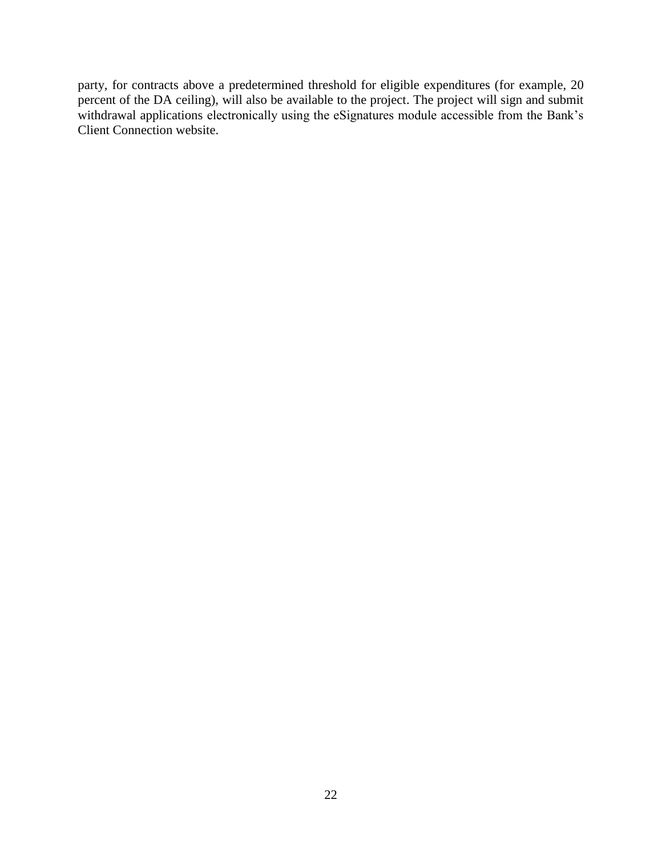party, for contracts above a predetermined threshold for eligible expenditures (for example, 20 percent of the DA ceiling), will also be available to the project. The project will sign and submit withdrawal applications electronically using the eSignatures module accessible from the Bank's Client Connection website.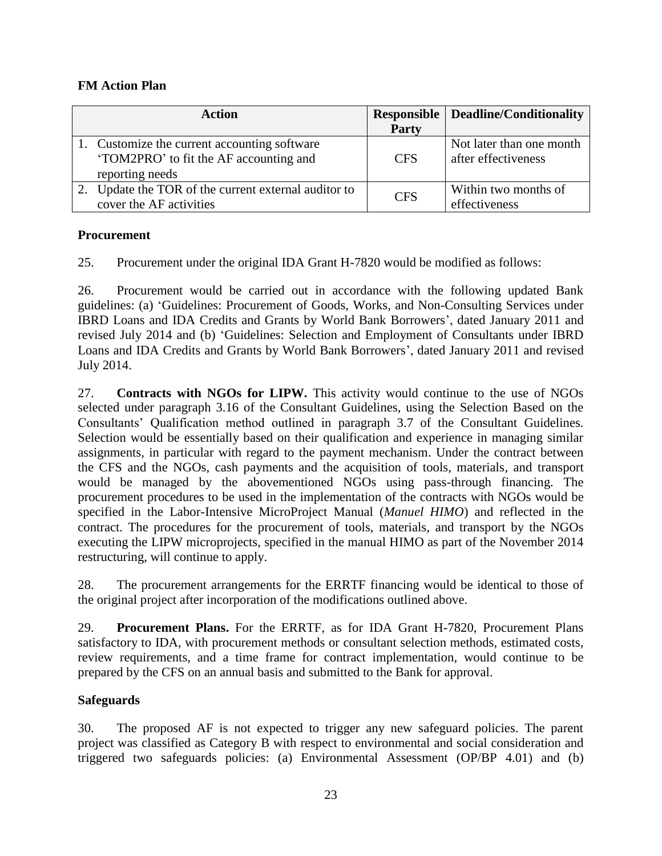### **FM Action Plan**

| Action                                                                                                    | Party      | <b>Responsible   Deadline/Conditionality</b>    |
|-----------------------------------------------------------------------------------------------------------|------------|-------------------------------------------------|
| 1. Customize the current accounting software<br>'TOM2PRO' to fit the AF accounting and<br>reporting needs | <b>CFS</b> | Not later than one month<br>after effectiveness |
| 2. Update the TOR of the current external auditor to<br>cover the AF activities                           | <b>CFS</b> | Within two months of<br>effectiveness           |

### **Procurement**

25. Procurement under the original IDA Grant H-7820 would be modified as follows:

26. Procurement would be carried out in accordance with the following updated Bank guidelines: (a) 'Guidelines: Procurement of Goods, Works, and Non-Consulting Services under IBRD Loans and IDA Credits and Grants by World Bank Borrowers', dated January 2011 and revised July 2014 and (b) 'Guidelines: Selection and Employment of Consultants under IBRD Loans and IDA Credits and Grants by World Bank Borrowers', dated January 2011 and revised July 2014.

27. **Contracts with NGOs for LIPW.** This activity would continue to the use of NGOs selected under paragraph 3.16 of the Consultant Guidelines, using the Selection Based on the Consultants' Qualification method outlined in paragraph 3.7 of the Consultant Guidelines. Selection would be essentially based on their qualification and experience in managing similar assignments, in particular with regard to the payment mechanism. Under the contract between the CFS and the NGOs, cash payments and the acquisition of tools, materials, and transport would be managed by the abovementioned NGOs using pass-through financing. The procurement procedures to be used in the implementation of the contracts with NGOs would be specified in the Labor-Intensive MicroProject Manual (*Manuel HIMO*) and reflected in the contract. The procedures for the procurement of tools, materials, and transport by the NGOs executing the LIPW microprojects, specified in the manual HIMO as part of the November 2014 restructuring, will continue to apply.

28. The procurement arrangements for the ERRTF financing would be identical to those of the original project after incorporation of the modifications outlined above.

29. **Procurement Plans.** For the ERRTF, as for IDA Grant H-7820, Procurement Plans satisfactory to IDA, with procurement methods or consultant selection methods, estimated costs, review requirements, and a time frame for contract implementation, would continue to be prepared by the CFS on an annual basis and submitted to the Bank for approval.

### **Safeguards**

30. The proposed AF is not expected to trigger any new safeguard policies. The parent project was classified as Category B with respect to environmental and social consideration and triggered two safeguards policies: (a) Environmental Assessment (OP/BP 4.01) and (b)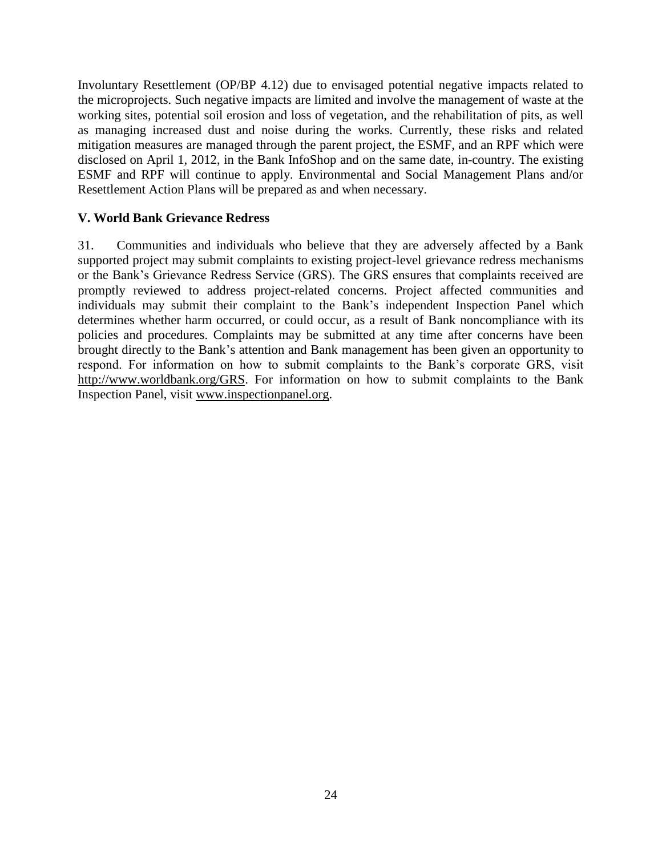Involuntary Resettlement (OP/BP 4.12) due to envisaged potential negative impacts related to the microprojects. Such negative impacts are limited and involve the management of waste at the working sites, potential soil erosion and loss of vegetation, and the rehabilitation of pits, as well as managing increased dust and noise during the works. Currently, these risks and related mitigation measures are managed through the parent project, the ESMF, and an RPF which were disclosed on April 1, 2012, in the Bank InfoShop and on the same date, in-country. The existing ESMF and RPF will continue to apply. Environmental and Social Management Plans and/or Resettlement Action Plans will be prepared as and when necessary.

### **V. World Bank Grievance Redress**

31. Communities and individuals who believe that they are adversely affected by a Bank supported project may submit complaints to existing project-level grievance redress mechanisms or the Bank's Grievance Redress Service (GRS). The GRS ensures that complaints received are promptly reviewed to address project-related concerns. Project affected communities and individuals may submit their complaint to the Bank's independent Inspection Panel which determines whether harm occurred, or could occur, as a result of Bank noncompliance with its policies and procedures. Complaints may be submitted at any time after concerns have been brought directly to the Bank's attention and Bank management has been given an opportunity to respond. For information on how to submit complaints to the Bank's corporate GRS, visit [http://www.worldbank.org/GRS.](http://www.worldbank.org/GRS) For information on how to submit complaints to the Bank Inspection Panel, visit [www.inspectionpanel.org.](http://www.inspectionpanel.org/)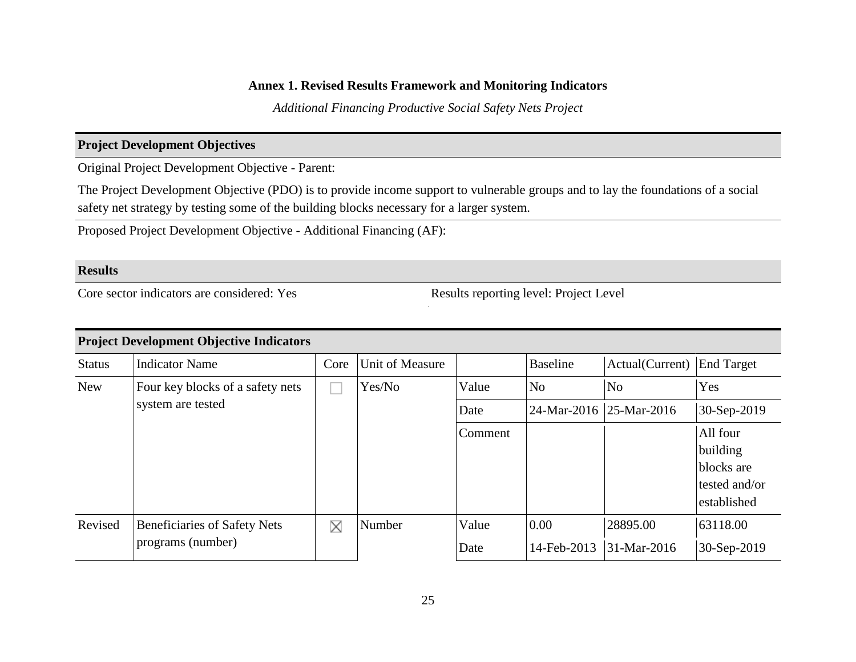# **Annex 1. Revised Results Framework and Monitoring Indicators**

*Additional Financing Productive Social Safety Nets Project*

# **Project Development Objectives**

Original Project Development Objective - Parent:

The Project Development Objective (PDO) is to provide income support to vulnerable groups and to lay the foundations of a social safety net strategy by testing some of the building blocks necessary for a larger system.

Proposed Project Development Objective - Additional Financing (AF):

### **Results**

Core sector indicators are considered: Yes Results reporting level: Project Level

| <b>Project Development Objective Indicators</b> |                                                          |      |                 |         |                 |                         |                                                                    |  |  |  |  |  |
|-------------------------------------------------|----------------------------------------------------------|------|-----------------|---------|-----------------|-------------------------|--------------------------------------------------------------------|--|--|--|--|--|
| <b>Status</b>                                   | <b>Indicator Name</b>                                    | Core | Unit of Measure |         | <b>Baseline</b> | Actual(Current)         | <b>End Target</b>                                                  |  |  |  |  |  |
| <b>New</b>                                      | Four key blocks of a safety nets                         |      | Yes/No          | Value   | N <sub>o</sub>  | N <sub>o</sub>          | Yes                                                                |  |  |  |  |  |
|                                                 | system are tested                                        |      |                 | Date    |                 | 24-Mar-2016 25-Mar-2016 | 30-Sep-2019                                                        |  |  |  |  |  |
|                                                 |                                                          |      |                 | Comment |                 |                         | All four<br>building<br>blocks are<br>tested and/or<br>established |  |  |  |  |  |
| Revised                                         | <b>Beneficiaries of Safety Nets</b><br>programs (number) | X    | Number          | Value   | 0.00            | 28895.00                | 63118.00                                                           |  |  |  |  |  |
|                                                 |                                                          |      |                 | Date    | 14-Feb-2013     | 31-Mar-2016             | 30-Sep-2019                                                        |  |  |  |  |  |

#### **Project Development Objective Indicators**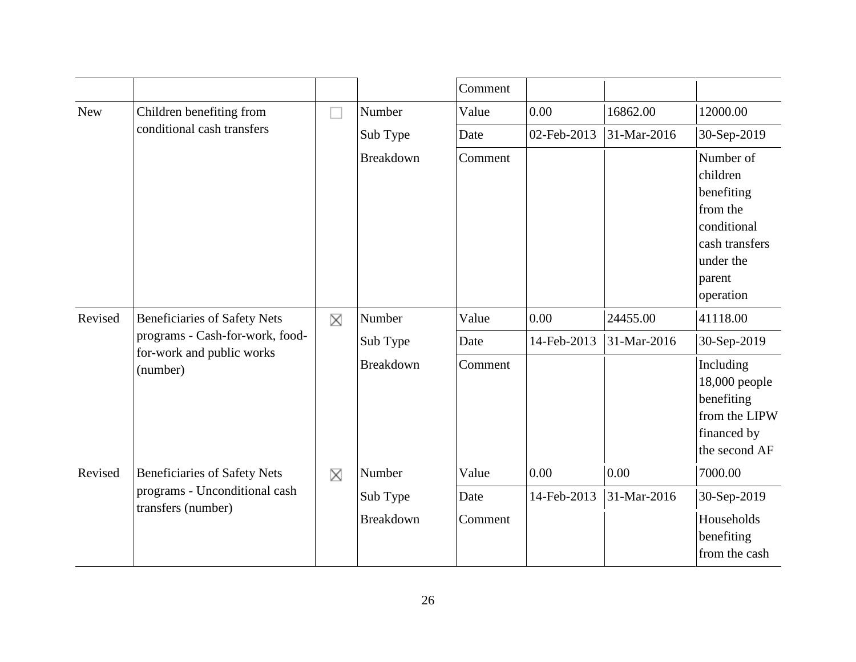|            |                                                                                                                 |   |                              | Comment |             |             |                                                                                                                      |
|------------|-----------------------------------------------------------------------------------------------------------------|---|------------------------------|---------|-------------|-------------|----------------------------------------------------------------------------------------------------------------------|
| <b>New</b> | Children benefiting from                                                                                        |   | Number                       | Value   | 0.00        | 16862.00    | 12000.00                                                                                                             |
|            | conditional cash transfers                                                                                      |   | Sub Type                     | Date    | 02-Feb-2013 | 31-Mar-2016 | 30-Sep-2019                                                                                                          |
|            |                                                                                                                 |   | Breakdown                    | Comment |             |             | Number of<br>children<br>benefiting<br>from the<br>conditional<br>cash transfers<br>under the<br>parent<br>operation |
| Revised    | <b>Beneficiaries of Safety Nets</b><br>programs - Cash-for-work, food-<br>for-work and public works<br>(number) | X | Number                       | Value   | 0.00        | 24455.00    | 41118.00                                                                                                             |
|            |                                                                                                                 |   | Sub Type<br><b>Breakdown</b> | Date    | 14-Feb-2013 | 31-Mar-2016 | 30-Sep-2019                                                                                                          |
|            |                                                                                                                 |   |                              | Comment |             |             | Including<br>18,000 people<br>benefiting<br>from the LIPW<br>financed by<br>the second AF                            |
| Revised    | <b>Beneficiaries of Safety Nets</b>                                                                             | X | Number                       | Value   | 0.00        | 0.00        | 7000.00                                                                                                              |
|            | programs - Unconditional cash                                                                                   |   | Sub Type                     | Date    | 14-Feb-2013 | 31-Mar-2016 | 30-Sep-2019                                                                                                          |
|            | transfers (number)                                                                                              |   | <b>Breakdown</b>             | Comment |             |             | Households<br>benefiting<br>from the cash                                                                            |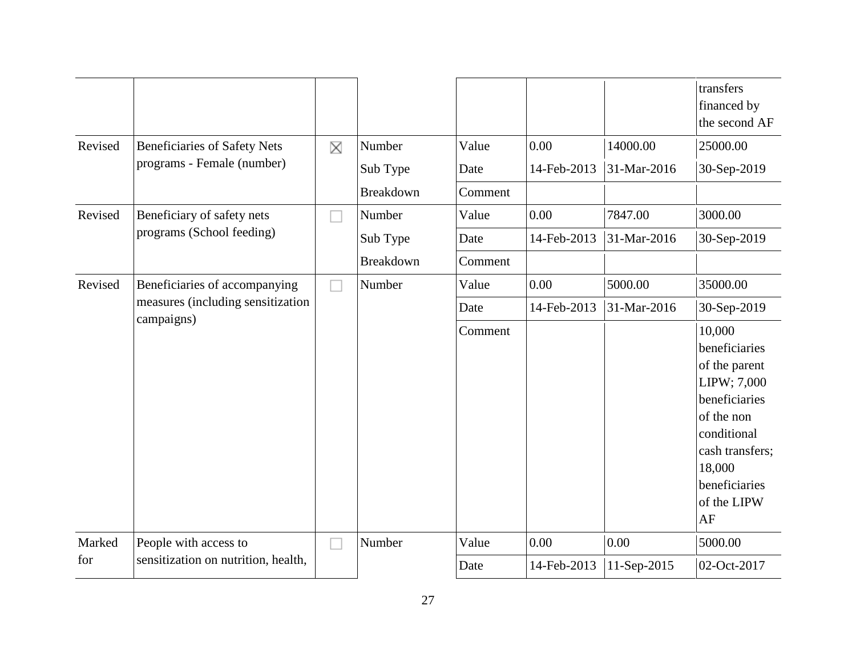|         |                                                 |   |                  |         |             |             | transfers<br>financed by<br>the second AF                                                                                                                                |
|---------|-------------------------------------------------|---|------------------|---------|-------------|-------------|--------------------------------------------------------------------------------------------------------------------------------------------------------------------------|
| Revised | <b>Beneficiaries of Safety Nets</b>             | X | Number           | Value   | 0.00        | 14000.00    | 25000.00                                                                                                                                                                 |
|         | programs - Female (number)                      |   | Sub Type         | Date    | 14-Feb-2013 | 31-Mar-2016 | 30-Sep-2019                                                                                                                                                              |
|         |                                                 |   | <b>Breakdown</b> | Comment |             |             |                                                                                                                                                                          |
| Revised | Beneficiary of safety nets                      |   | Number           | Value   | 0.00        | 7847.00     | 3000.00                                                                                                                                                                  |
|         | programs (School feeding)                       |   | Sub Type         | Date    | 14-Feb-2013 | 31-Mar-2016 | 30-Sep-2019                                                                                                                                                              |
|         |                                                 |   | <b>Breakdown</b> | Comment |             |             |                                                                                                                                                                          |
| Revised | Beneficiaries of accompanying                   |   | Number           | Value   | 0.00        | 5000.00     | 35000.00                                                                                                                                                                 |
|         | measures (including sensitization<br>campaigns) |   |                  | Date    | 14-Feb-2013 | 31-Mar-2016 | 30-Sep-2019                                                                                                                                                              |
|         |                                                 |   |                  | Comment |             |             | 10,000<br>beneficiaries<br>of the parent<br>LIPW; 7,000<br>beneficiaries<br>of the non<br>conditional<br>cash transfers;<br>18,000<br>beneficiaries<br>of the LIPW<br>AF |
| Marked  | People with access to                           |   | Number           | Value   | 0.00        | 0.00        | 5000.00                                                                                                                                                                  |
| for     | sensitization on nutrition, health,             |   |                  | Date    | 14-Feb-2013 | 11-Sep-2015 | 02-Oct-2017                                                                                                                                                              |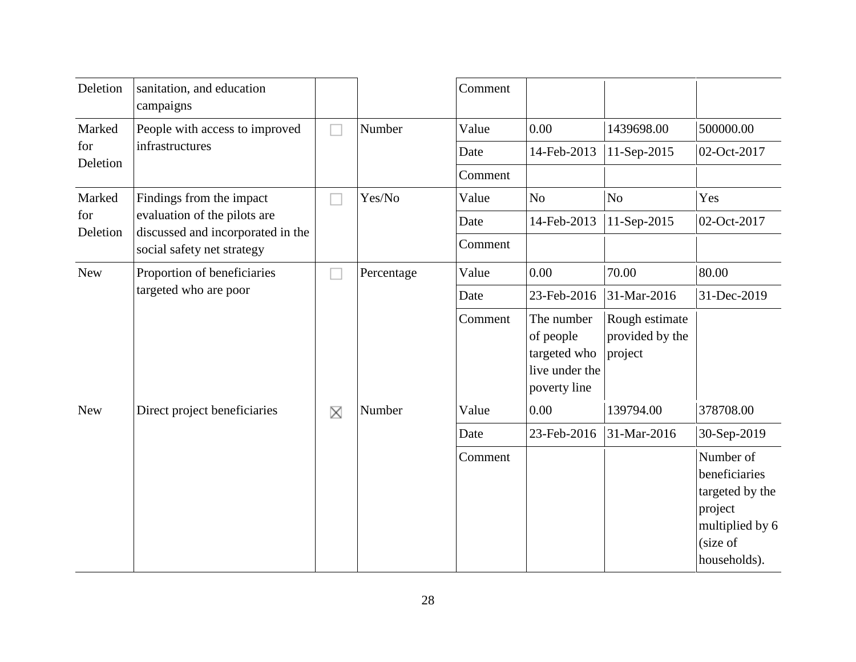| Deletion        | sanitation, and education<br>campaigns                            |   |            | Comment |                                                                           |                                              |                                                                                                         |
|-----------------|-------------------------------------------------------------------|---|------------|---------|---------------------------------------------------------------------------|----------------------------------------------|---------------------------------------------------------------------------------------------------------|
| Marked          | People with access to improved                                    |   | Number     | Value   | 0.00                                                                      | 1439698.00                                   | 500000.00                                                                                               |
| for             | infrastructures                                                   |   |            | Date    | 14-Feb-2013                                                               | 11-Sep-2015                                  | 02-Oct-2017                                                                                             |
| Deletion        |                                                                   |   |            | Comment |                                                                           |                                              |                                                                                                         |
| Marked          | Findings from the impact                                          |   | Yes/No     | Value   | N <sub>o</sub>                                                            | N <sub>o</sub>                               | Yes                                                                                                     |
| for<br>Deletion | evaluation of the pilots are<br>discussed and incorporated in the |   |            | Date    | 14-Feb-2013                                                               | 11-Sep-2015                                  | 02-Oct-2017                                                                                             |
|                 | social safety net strategy                                        |   |            | Comment |                                                                           |                                              |                                                                                                         |
| <b>New</b>      | Proportion of beneficiaries<br>targeted who are poor              |   | Percentage | Value   | 0.00                                                                      | 70.00                                        | 80.00                                                                                                   |
|                 |                                                                   |   |            | Date    | 23-Feb-2016                                                               | 31-Mar-2016                                  | 31-Dec-2019                                                                                             |
|                 |                                                                   |   |            | Comment | The number<br>of people<br>targeted who<br>live under the<br>poverty line | Rough estimate<br>provided by the<br>project |                                                                                                         |
| <b>New</b>      | Direct project beneficiaries                                      | X | Number     | Value   | 0.00                                                                      | 139794.00                                    | 378708.00                                                                                               |
|                 |                                                                   |   |            | Date    | 23-Feb-2016                                                               | 31-Mar-2016                                  | 30-Sep-2019                                                                                             |
|                 |                                                                   |   |            | Comment |                                                                           |                                              | Number of<br>beneficiaries<br>targeted by the<br>project<br>multiplied by 6<br>(size of<br>households). |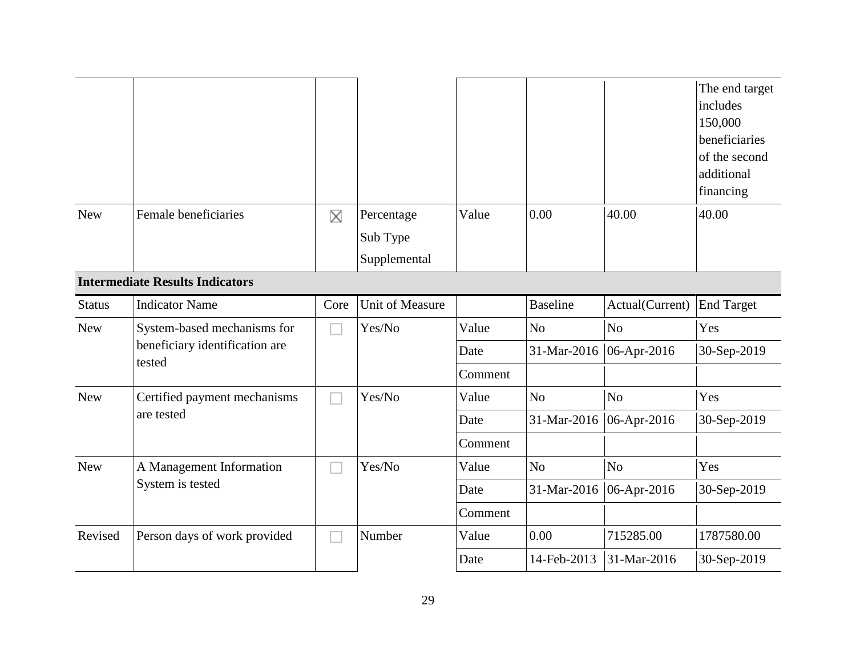|               |                                                                         |      |                        |         |                 |                 | The end target<br>includes<br>150,000<br>beneficiaries<br>of the second<br>additional<br>financing |
|---------------|-------------------------------------------------------------------------|------|------------------------|---------|-----------------|-----------------|----------------------------------------------------------------------------------------------------|
| <b>New</b>    | Female beneficiaries                                                    | X    | Percentage             | Value   | 0.00            | 40.00           | 40.00                                                                                              |
|               |                                                                         |      | Sub Type               |         |                 |                 |                                                                                                    |
|               |                                                                         |      | Supplemental           |         |                 |                 |                                                                                                    |
|               | <b>Intermediate Results Indicators</b>                                  |      |                        |         |                 |                 |                                                                                                    |
| <b>Status</b> | <b>Indicator Name</b>                                                   | Core | <b>Unit of Measure</b> |         | <b>Baseline</b> | Actual(Current) | <b>End Target</b>                                                                                  |
| <b>New</b>    | System-based mechanisms for<br>beneficiary identification are<br>tested |      | Yes/No                 | Value   | N <sub>o</sub>  | N <sub>o</sub>  | Yes                                                                                                |
|               |                                                                         |      |                        | Date    | 31-Mar-2016     | 06-Apr-2016     | 30-Sep-2019                                                                                        |
|               |                                                                         |      |                        | Comment |                 |                 |                                                                                                    |
| <b>New</b>    | Certified payment mechanisms                                            |      | Yes/No                 | Value   | N <sub>o</sub>  | N <sub>o</sub>  | Yes                                                                                                |
|               | are tested                                                              |      |                        | Date    | 31-Mar-2016     | 06-Apr-2016     | 30-Sep-2019                                                                                        |
|               |                                                                         |      |                        | Comment |                 |                 |                                                                                                    |
| <b>New</b>    | A Management Information                                                |      | Yes/No                 | Value   | N <sub>o</sub>  | N <sub>o</sub>  | Yes                                                                                                |
|               | System is tested                                                        |      |                        | Date    | 31-Mar-2016     | 06-Apr-2016     | 30-Sep-2019                                                                                        |
|               |                                                                         |      |                        | Comment |                 |                 |                                                                                                    |
| Revised       | Person days of work provided                                            |      | Number                 | Value   | 0.00            | 715285.00       | 1787580.00                                                                                         |
|               |                                                                         |      |                        | Date    | 14-Feb-2013     | 31-Mar-2016     | 30-Sep-2019                                                                                        |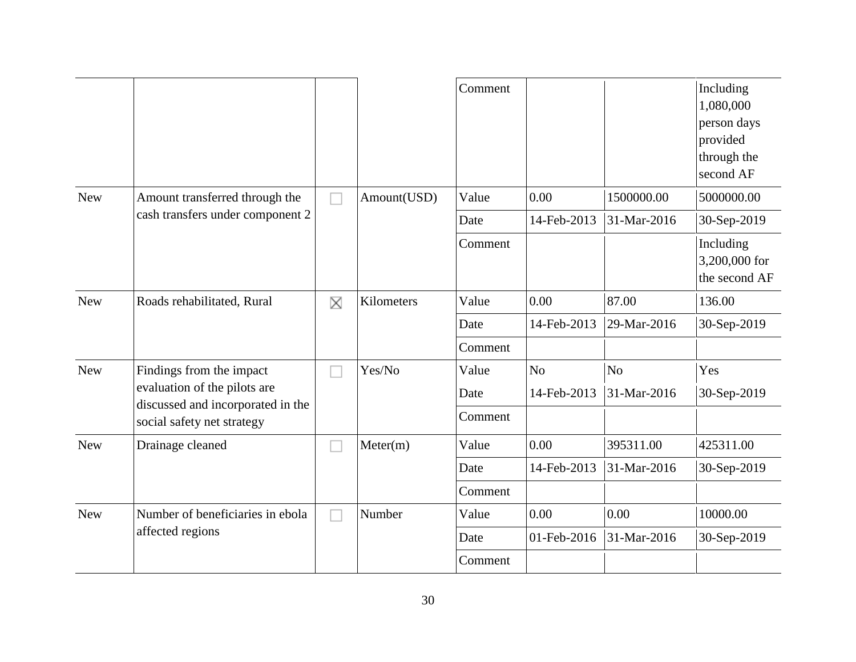|            |                                                                   |   |             | Comment |                |                | Including<br>1,080,000<br>person days<br>provided<br>through the<br>second AF |
|------------|-------------------------------------------------------------------|---|-------------|---------|----------------|----------------|-------------------------------------------------------------------------------|
| <b>New</b> | Amount transferred through the                                    |   | Amount(USD) | Value   | 0.00           | 1500000.00     | 5000000.00                                                                    |
|            | cash transfers under component 2                                  |   |             | Date    | 14-Feb-2013    | 31-Mar-2016    | 30-Sep-2019                                                                   |
|            |                                                                   |   |             | Comment |                |                | Including<br>3,200,000 for<br>the second AF                                   |
| <b>New</b> | Roads rehabilitated, Rural                                        | X | Kilometers  | Value   | 0.00           | 87.00          | 136.00                                                                        |
|            |                                                                   |   |             | Date    | 14-Feb-2013    | 29-Mar-2016    | 30-Sep-2019                                                                   |
|            |                                                                   |   |             | Comment |                |                |                                                                               |
| <b>New</b> | Findings from the impact                                          |   | Yes/No      | Value   | N <sub>o</sub> | N <sub>o</sub> | Yes                                                                           |
|            | evaluation of the pilots are<br>discussed and incorporated in the |   |             | Date    | 14-Feb-2013    | 31-Mar-2016    | 30-Sep-2019                                                                   |
|            | social safety net strategy                                        |   |             | Comment |                |                |                                                                               |
| <b>New</b> | Drainage cleaned                                                  |   | Meter(m)    | Value   | 0.00           | 395311.00      | 425311.00                                                                     |
|            |                                                                   |   |             | Date    | 14-Feb-2013    | 31-Mar-2016    | 30-Sep-2019                                                                   |
|            |                                                                   |   |             | Comment |                |                |                                                                               |
| <b>New</b> | Number of beneficiaries in ebola                                  |   | Number      | Value   | 0.00           | 0.00           | 10000.00                                                                      |
|            | affected regions                                                  |   |             | Date    | 01-Feb-2016    | 31-Mar-2016    | 30-Sep-2019                                                                   |
|            |                                                                   |   |             | Comment |                |                |                                                                               |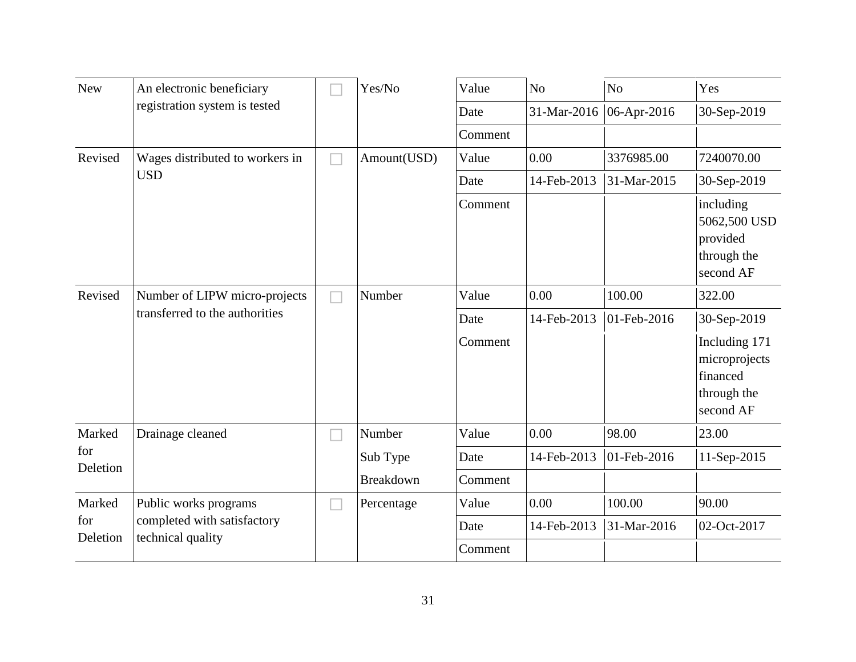| <b>New</b>      | An electronic beneficiary<br>registration system is tested      |  | Yes/No           | Value   | N <sub>0</sub> | N <sub>o</sub>          | Yes                                                                    |
|-----------------|-----------------------------------------------------------------|--|------------------|---------|----------------|-------------------------|------------------------------------------------------------------------|
|                 |                                                                 |  |                  | Date    |                | 31-Mar-2016 06-Apr-2016 | 30-Sep-2019                                                            |
|                 |                                                                 |  |                  | Comment |                |                         |                                                                        |
| Revised         | Wages distributed to workers in                                 |  | Amount(USD)      | Value   | 0.00           | 3376985.00              | 7240070.00                                                             |
|                 | <b>USD</b>                                                      |  |                  | Date    | 14-Feb-2013    | 31-Mar-2015             | 30-Sep-2019                                                            |
|                 |                                                                 |  |                  | Comment |                |                         | including<br>5062,500 USD<br>provided<br>through the<br>second AF      |
| Revised         | Number of LIPW micro-projects<br>transferred to the authorities |  | Number           | Value   | 0.00           | 100.00                  | 322.00                                                                 |
|                 |                                                                 |  |                  | Date    | 14-Feb-2013    | 01-Feb-2016             | 30-Sep-2019                                                            |
|                 |                                                                 |  |                  | Comment |                |                         | Including 171<br>microprojects<br>financed<br>through the<br>second AF |
| Marked          | Drainage cleaned                                                |  | Number           | Value   | 0.00           | 98.00                   | 23.00                                                                  |
| for<br>Deletion |                                                                 |  | Sub Type         | Date    | 14-Feb-2013    | 01-Feb-2016             | 11-Sep-2015                                                            |
|                 |                                                                 |  | <b>Breakdown</b> | Comment |                |                         |                                                                        |
| Marked          | Public works programs                                           |  | Percentage       | Value   | 0.00           | 100.00                  | 90.00                                                                  |
| for<br>Deletion | completed with satisfactory                                     |  |                  | Date    | 14-Feb-2013    | 31-Mar-2016             | 02-Oct-2017                                                            |
|                 | technical quality                                               |  |                  | Comment |                |                         |                                                                        |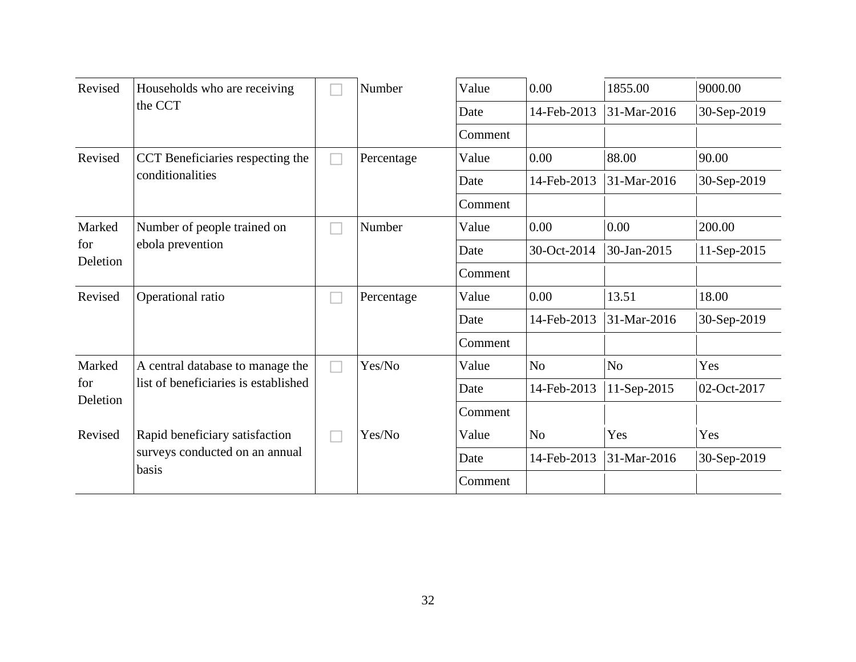| Revised         | Households who are receiving            |    | Number     | Value   | 0.00           | 1855.00        | 9000.00     |
|-----------------|-----------------------------------------|----|------------|---------|----------------|----------------|-------------|
|                 | the CCT                                 |    |            | Date    | 14-Feb-2013    | 31-Mar-2016    | 30-Sep-2019 |
|                 |                                         |    |            | Comment |                |                |             |
| Revised         | CCT Beneficiaries respecting the        |    | Percentage | Value   | 0.00           | 88.00          | 90.00       |
|                 | conditionalities                        |    |            | Date    | 14-Feb-2013    | 31-Mar-2016    | 30-Sep-2019 |
|                 |                                         |    |            | Comment |                |                |             |
| Marked          | Number of people trained on             |    | Number     | Value   | 0.00           | 0.00           | 200.00      |
| for<br>Deletion | ebola prevention                        |    |            | Date    | 30-Oct-2014    | 30-Jan-2015    | 11-Sep-2015 |
|                 |                                         |    |            | Comment |                |                |             |
| Revised         | Operational ratio                       |    | Percentage | Value   | 0.00           | 13.51          | 18.00       |
|                 |                                         |    |            | Date    | 14-Feb-2013    | 31-Mar-2016    | 30-Sep-2019 |
|                 |                                         |    |            | Comment |                |                |             |
| Marked          | A central database to manage the        | L. | Yes/No     | Value   | N <sub>o</sub> | N <sub>o</sub> | Yes         |
| for<br>Deletion | list of beneficiaries is established    |    |            | Date    | 14-Feb-2013    | 11-Sep-2015    | 02-Oct-2017 |
|                 |                                         |    |            | Comment |                |                |             |
| Revised         | Rapid beneficiary satisfaction          |    | Yes/No     | Value   | N <sub>o</sub> | Yes            | Yes         |
|                 | surveys conducted on an annual<br>basis |    |            | Date    | 14-Feb-2013    | 31-Mar-2016    | 30-Sep-2019 |
|                 |                                         |    |            | Comment |                |                |             |